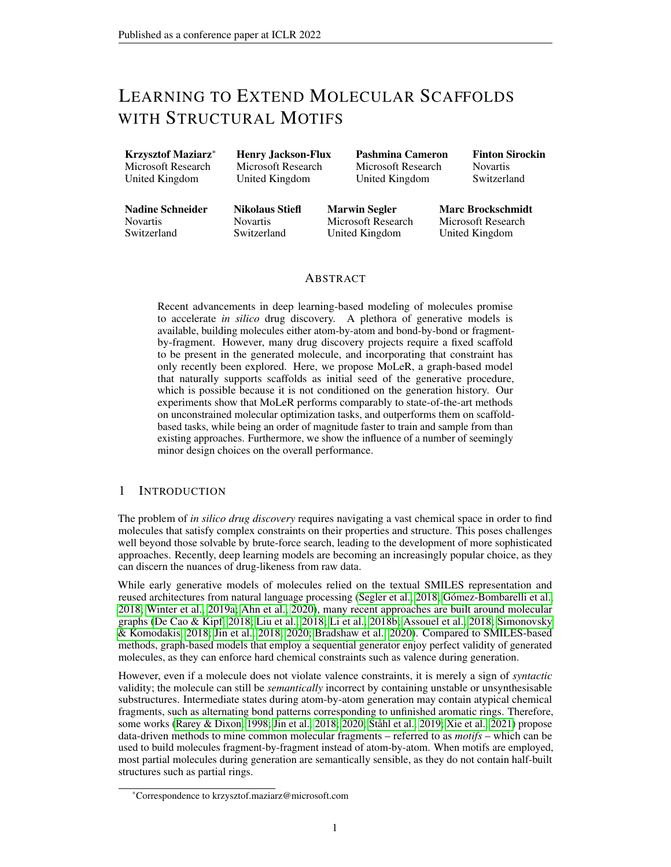# LEARNING TO EXTEND MOLECULAR SCAFFOLDS WITH STRUCTURAL MOTIFS

| <b>Krzysztof Maziarz*</b> |
|---------------------------|
| Microsoft Research        |
| United Kingdom            |

Henry Jackson-Flux Microsoft Research United Kingdom

Pashmina Cameron Microsoft Research United Kingdom

Finton Sirockin Novartis Switzerland

Nadine Schneider Novartis Switzerland

Nikolaus Stiefl **Novartis** Switzerland

Marwin Segler Microsoft Research United Kingdom

Marc Brockschmidt Microsoft Research United Kingdom

# ABSTRACT

Recent advancements in deep learning-based modeling of molecules promise to accelerate *in silico* drug discovery. A plethora of generative models is available, building molecules either atom-by-atom and bond-by-bond or fragmentby-fragment. However, many drug discovery projects require a fixed scaffold to be present in the generated molecule, and incorporating that constraint has only recently been explored. Here, we propose MoLeR, a graph-based model that naturally supports scaffolds as initial seed of the generative procedure, which is possible because it is not conditioned on the generation history. Our experiments show that MoLeR performs comparably to state-of-the-art methods on unconstrained molecular optimization tasks, and outperforms them on scaffoldbased tasks, while being an order of magnitude faster to train and sample from than existing approaches. Furthermore, we show the influence of a number of seemingly minor design choices on the overall performance.

# 1 INTRODUCTION

The problem of *in silico drug discovery* requires navigating a vast chemical space in order to find molecules that satisfy complex constraints on their properties and structure. This poses challenges well beyond those solvable by brute-force search, leading to the development of more sophisticated approaches. Recently, deep learning models are becoming an increasingly popular choice, as they can discern the nuances of drug-likeness from raw data.

While early generative models of molecules relied on the textual SMILES representation and reused architectures from natural language processing [\(Segler et al., 2018;](#page-11-0) [Gómez-Bombarelli et al.,](#page-10-0) [2018;](#page-10-0) [Winter et al., 2019a;](#page-12-0) [Ahn et al., 2020\)](#page-9-0), many recent approaches are built around molecular graphs [\(De Cao & Kipf, 2018;](#page-9-1) [Liu et al., 2018;](#page-10-1) [Li et al., 2018b;](#page-10-2) [Assouel et al., 2018;](#page-9-2) [Simonovsky](#page-11-1) [& Komodakis, 2018;](#page-11-1) [Jin et al., 2018;](#page-10-3) [2020;](#page-10-4) [Bradshaw et al., 2020\)](#page-9-3). Compared to SMILES-based methods, graph-based models that employ a sequential generator enjoy perfect validity of generated molecules, as they can enforce hard chemical constraints such as valence during generation.

However, even if a molecule does not violate valence constraints, it is merely a sign of *syntactic* validity; the molecule can still be *semantically* incorrect by containing unstable or unsynthesisable substructures. Intermediate states during atom-by-atom generation may contain atypical chemical fragments, such as alternating bond patterns corresponding to unfinished aromatic rings. Therefore, some works [\(Rarey & Dixon, 1998;](#page-11-2) [Jin et al., 2018;](#page-10-3) [2020;](#page-10-4) [Ståhl et al., 2019;](#page-12-1) [Xie et al., 2021\)](#page-12-2) propose data-driven methods to mine common molecular fragments – referred to as *motifs* – which can be used to build molecules fragment-by-fragment instead of atom-by-atom. When motifs are employed, most partial molecules during generation are semantically sensible, as they do not contain half-built structures such as partial rings.

<sup>\*</sup>Correspondence to krzysztof.maziarz@microsoft.com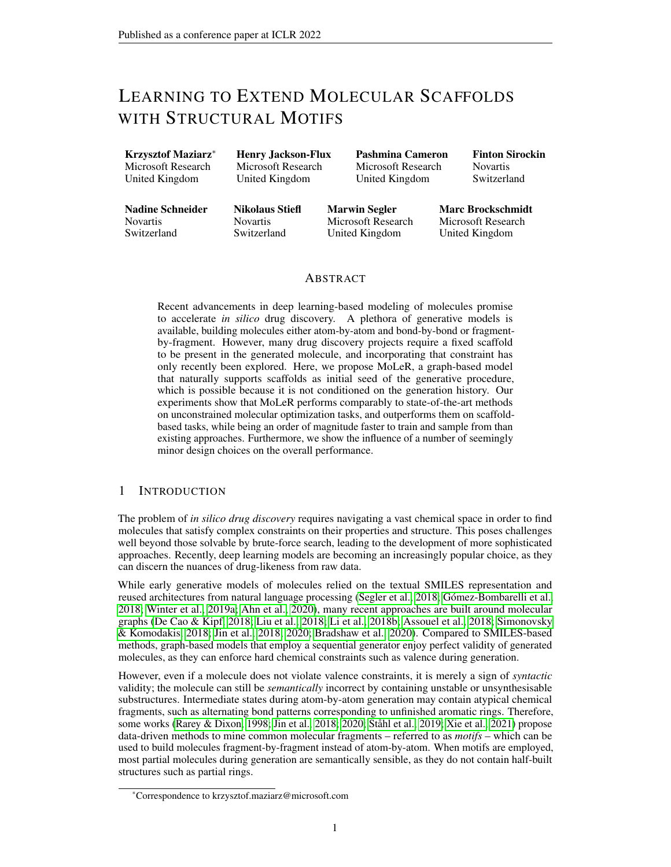<span id="page-1-1"></span>

Figure 1: Overview of our approach. We discover motifs from data (a) and use them to decompose an input molecule (b) into motifs and single atoms. In the encoder (c), atom features (bottom) are combined with motif embeddings (top), making the motif information available at the atom level. Decoder steps (d) are only conditioned on the encoder output and partial graph (hence independent) and have to select one of the valid options (shown below, correct choices marked in red).

A common additional constraint in drug discovery projects is the inclusion of a predefined subgraph, called a *scaffold* [\(Schuffenhauer et al., 2007\)](#page-11-3). Sampling molecules that contain a given scaffold can be approached by unconditional generation followed by post-hoc filtering. While simple, this method is not scalable, as the number of samples required may grow exponentially with scaffold size. Instead, some recent models can enforce the presence of a given scaffold [\(Lim et al., 2019;](#page-10-5) [Li et al., 2019;](#page-10-6) [Arús-Pous et al., 2020;](#page-9-4) [Langevin et al., 2020\)](#page-10-7). However, extending an arbitrary generative model to perform scaffold-based generation is often non-trivial, as we discuss in Section [4.](#page-8-0)

In this work we make the following contributions:

- In Section [2](#page-1-0) we present MoLeR, a new graph-based generative model suitable for the commonly required task of extending partial molecules. It can use motifs (molecule fragments) to generate outputs (similarly to [Jin et al.](#page-10-3) [\(2018;](#page-10-3) [2020\)](#page-10-4)), but integrates this with atom-by-atom generation.
- We show experimentally in Section [3](#page-4-0) that MoLeR *(a)* is able learn to generate molecules matching the distribution of the training data (with and without scaffolds); *(b)* together with an off-the-shelf optimization method (MSO [\(Winter et al., 2019b\)](#page-12-3)) can be used for molecular optimization tasks, matching the state of the art methods in unconstrained optimization, and outperforming them on scaffold-constrained tasks; and *(c)* is faster in training and inference than baseline methods.
- We also perform experiments in Section [3](#page-4-0) to analyze two design decisions that are understudied in the literature: the choice of the generation order and the size of the motif vocabulary. Our results show how varying these two parameters affects model performance.

Code is available at <https://github.com/microsoft/molecule-generation>.

# <span id="page-1-0"></span>2 OUR APPROACH

#### <span id="page-1-2"></span>2.1 DATA REPRESENTATION

**Motifs** Training our model relies on a set of fragments  $M$  – called the *motif vocabulary* – which we infer directly from data. For each training molecule, we decompose it into fragments by breaking some of the bonds; as breaking rings is chemically challenging, we only consider *acyclic bonds*, i.e. bonds that do not lie on a cycle. We break all acyclic bonds adjacent to a cycle (i.e. at least one endpoint lies on a cycle), as that separates the molecule into cyclic substructures, such as ring systems, and acyclic substructures, such as functional groups. We then aggregate the resulting fragments over the entire training set, and define  $M$  as the n most common motifs, where n is a hyperparameter. Having selected  $M$ , we pre-process molecules (both for training and during inference) by noting which atoms are covered by motifs belonging to the vocabulary. This is done by applying the same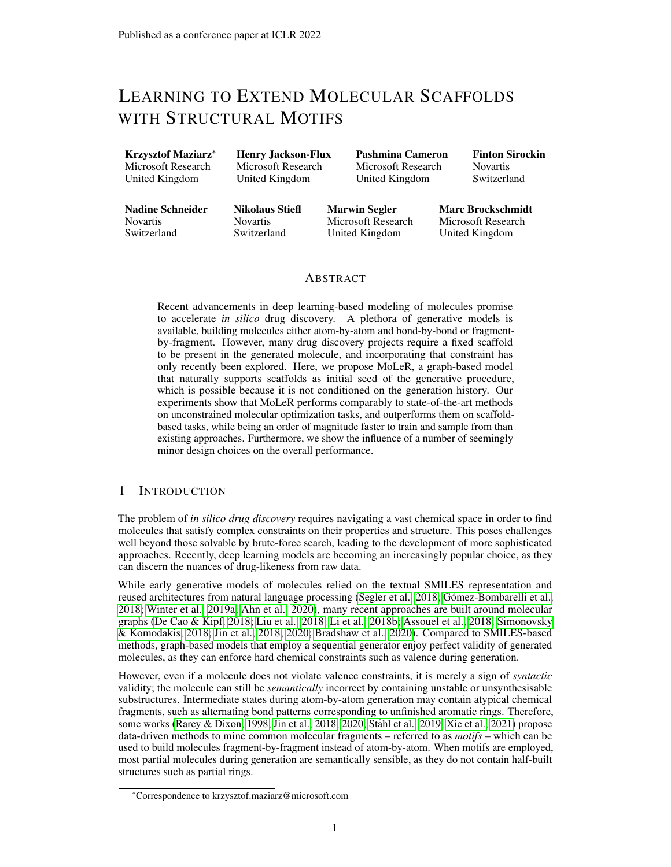bond-breaking procedure as used for motif vocabulary extraction. During generation, our model can either add an entire motif in one step, or generate atoms and bonds one-by-one. This means that it can generate arbitrary structures, such as an unusual ring, even if they do not appear in the training data.

Finally, note that in contrast to [Jin et al.](#page-10-4) [\(2020\)](#page-10-4), we do not decompose ring systems into individual rings. This means that our motifs are atom-disjoint, and we consequently do not need to model a motif-specific attachment point vocabulary, as attaching a motif to a partial graph requires adding only a single bond, and thus there is only one attachment point.

**Molecule Representation** We represent a molecule as a graph  $\mathcal{G} = (\mathcal{V}, \mathcal{E})$ , where vertices  $\mathcal{V}$  are atoms, and edges  $\mathcal E$  are bonds. Edges may also be annotated with extra features such as the bond type. Each node (atom)  $v \in V$  is associated with an initial node feature vector  $h_v^{(init)}$ , chosen as chemically relevant features [\(Pocha et al., 2020\)](#page-11-4), both describing the atom (type, charge, mass, valence, and isotope information) and its local neighborhood (aromaticity and presence of rings). These features can be readily extracted using the RDKit library [\(Landrum et al., 2006\)](#page-10-8). Additionally, for atoms that are part of a motif, we concatenate  $h_v^{(init)}$  with the motif embedding; for the other atoms we use a special embedding vector to signify the lack of a motif. We show this at the top of Figure [1.](#page-1-1)

Throughout this paper we use Graph Neural Networks [\(Li et al., 2015;](#page-10-9) [Kipf & Welling, 2016\)](#page-10-10) to learn contextualized node representations  $h<sub>v</sub>$  (see [A](#page-13-0)ppendix A for background information on GNNs). Motif embeddings are initialized randomly, and learned end-to-end with the rest of the model.

Our generative procedure is shown in Algorithm [1](#page-2-0) and example steps are shown at the bottom of Figure [1.](#page-1-1) It takes as input a conditioning input vector z, which can either be obtained from encoding (in our setting of training it as an autoencoder) or from sampling (at inference time), and optionally a partial molecule to start generation from. Our generator constructs a molecule piece by piece. In each step, it first selects a new atom or entire motif to add to the current partial molecule, or to stop the generation. If generation continues, the new atom (or an atom picked from the added motif) is then in "focus" and connected to the partial molecule by adding one or several bonds.

Our decoder relies on three neural networks to implement the functions PickAtomOrMotif,

2.2 THE MOLER DECODER **Algorithm 1** MoLeR's Generative Procedure

```
Input: vector z, scaffold as partial graph SOutput: molecule M and probability pM, p \leftarrow S, 1while True do
a, p^a \leftarrow \text{PickAtomOrMotif}(z, M)p \leftarrow p \cdot p^aif a = END_GEN then
     return M, pM \leftarrow AddAtomOrMotif(M, a)v^{\circledcirc}, p^{\circledcirc} \leftarrow {\sf PickAttentionment}(z, M, a)p \leftarrow p \cdot p^{\odot}while True do
     b, p^b \leftarrow \mathsf{PickBond}(z, M, v^{\odot})p \leftarrow p \cdot p^bif b = END_BONDS then
          break
     M \leftarrow AddBond(M, b)
```
PickAttachment and PickBond. These share a common GNN to process the partial molecule  $M$ , yielding high-level features  $h_v$  for each atom v and an aggregated graph-level feature vector  $h_{mol}$ . We call our model MoLeR, as each step is conditioned on the Molecule-Level Representation  $h_{mol}$ .

PickAtomOrMotif uses  $h_{mol}$  as an input to an MLP that selects from the set of known atom types, motifs, and a special END\_GEN class to signal the end of the generation. PickAttachment is used to select which of the atoms in an added motif to connect to the partial molecule (this is trivial in the case of adding a single atom). This is implemented by another MLP that computes a score for each added atom  $v_a$  using its representation  $h_{v_a}$  and  $h_{mol}$ . As motifs are often highly symmetric, we determine the symmetries using RDKit and only consider one atom per equivalence class. An example of this is shown in step (3) at the bottom of Figure [1,](#page-1-1) where only three of the five atoms in the newly-added motif are available as choices, as there are only three equivalence classes.

Finally, PickBond is used to predict which bonds to add, using another MLP that scores each candidate bond between the focus atom  $v^{\odot}$  and a potential partner  $v_b$  using their representations  $h_{v^{\odot}}$ ,  $h_{v_b}$  and  $h_{mol}$ . We also consider a special, learned END\_BONDS partner to allow the network to choose to stop adding bonds. Similarly to [Liu et al.](#page-10-1) [\(2018\)](#page-10-1), we employ valence checks to mask out bonds that would lead to chemically invalid molecules. Moreover, if  $v^{\circ}$  was selected as an attachment point in a motif, we mask out edges to other atoms in the same motif.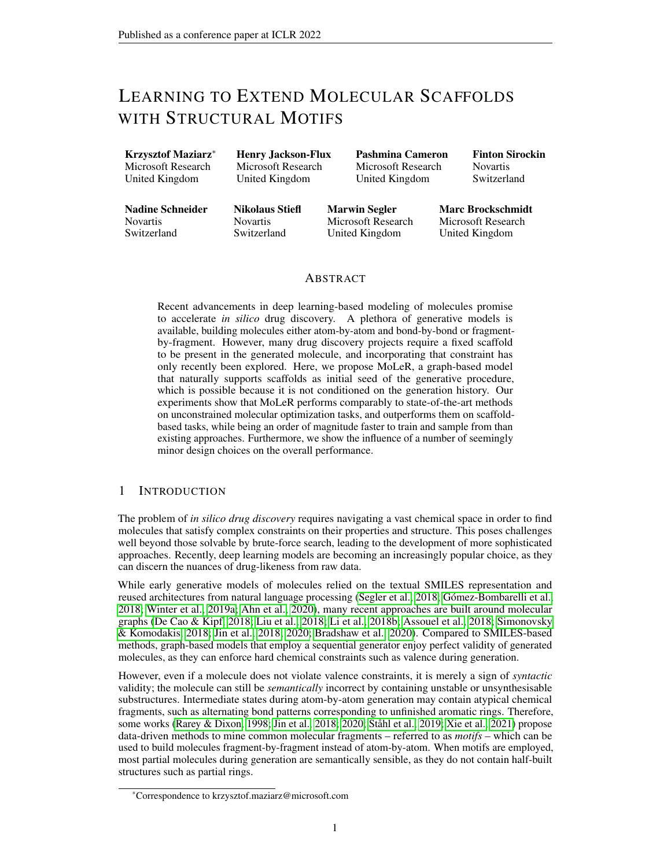The probability of a generation sequence is the product of probabilities of its steps; we note that the probability of a molecule is the sum over the probability of all different generation sequences leading to it, which is infeasible to compute. However, note that steps are only conditioned on the input  $z$  and the current partial molecule  $M$ . Our decoding is therefore not fully auto-regressive, as it marginalizes over all different generation sequences yielding the partial molecule  $M$ . During training, we use a softmax over the candidates considered by each subnetwork to obtain a probability distribution. As there are many steps where there are several correct next actions (e.g. many atoms could be added next), during training, we use a multi-hot objective that encourages the model to learn a uniform distribution over all correct choices. For more details about the architecture see Appendix [B.](#page-13-1)

# <span id="page-3-1"></span>2.3 MOLECULE GENERATION ORDERS Algorithm 2 Determining a generation order

As alluded to above, to train MoLeR we need to provide supervision for each individual step of the generative procedure, which is complicated by the fact that a single molecule may be generated in a variety of different orders. To define a concrete generation sequence, we first choose a starting atom, and then for every partial molecule choose the next atom from its *frontier*, i.e. atoms adjacent to already generated atoms. After each choice, if the currently selected atom is part of a motif, we add the entire motif into the partial graph at once. We formalize this concept in Algorithm [2.](#page-3-0)

In Section [3,](#page-4-0) we evaluate orders commonly used in the literature: *random*, where ValidFirstAtoms returns all atoms and ValidNextAtoms all atoms

<span id="page-3-0"></span>Input: Target molecule M, partial mapping A from atoms to motifs that cover them  $t, V_0 \leftarrow 0, \emptyset$ while not all atoms visited do if  $t = 0$  then  $c_t \leftarrow$  ValidFirstAtoms $(M)$ else  $c_t \leftarrow$  ValidNextAtoms( $V_t, M$ )<br>  $a_t \sim \mathcal{U}(c_t)$   $\triangleright$  Sample  $a_t$  uni  $\triangleright$  Sample  $a_t$  uniformly if  $a_t$  is covered by A then  $V_+ \leftarrow \mathcal{A}(a_t)$   $\triangleright$  Add an entire motif else<br> $V_+ \leftarrow \{a_t\}$  $\triangleright$  Add a single atom  $V_{t+1}, t \leftarrow V_t \cup V_+, t+1$ 

on the frontier on the current partial graph, i.e., a randomly chosen valid generation order; *canonical*, which is fully deterministic and follows a canonical ordering [\(Schneider et al., 2015\)](#page-11-5) of the atoms computed using RDKit; and two variants of *breadth-first search (BFS)*, where we choose the first atom either randomly or as the first atom in canonical order, and then explore the remaining atoms in BFS order, breaking ties between equidistant next nodes randomly.

#### <span id="page-3-2"></span>2.4 TRAINING MOLER

MoLeR is trained in the autoencoder paradigm, and so we extend our decoder from above with an encoder that computes a single representation for the entire molecule. This encoder GNN operates directly on the full molecular graph, but is motif-aware through the motif annotations included in the atom features. These annotations are deterministic functions of the input molecule, and thus in principle could be learned by the GNN itself, but we found them to be crucial to achieve good performance. Our model is agnostic to the concrete GNN type; in practice, we use a simple yet expressive GNN-MLP layer, which computes messages for each edge by passing the states of its endpoints through an MLP. Similar to [Brockschmidt](#page-9-5) [\(2020\)](#page-9-5), we found that this approach outperforms commonly used GNN layers such as GCN [\(Kipf & Welling, 2016\)](#page-10-10) or GIN [\(Xu et al., 2018\)](#page-12-4).

We train our overall model to optimize a standard VAE loss [\(Kingma & Welling, 2013\)](#page-10-11) with several minor modifications, resulting in the linear combination  $\lambda_{prior} \cdot \mathcal{L}_{prior}(x) + \mathcal{L}_{rec}(x) + \lambda_{prop} \cdot \mathcal{L}_{prop}(x)$ . The weights  $\lambda_{prior}$  and  $\lambda_{prop}$  are hyperparameters that we tuned empirically. We now elaborate on each of these loss components.

We define  $\mathcal{L}_{prior}(x) = -\mathcal{D}_{KL}(q_{\theta}(z | x) || p(z))$ , where  $p(z)$  is a multivariate Gaussian; as discussed above, the encoder  $q_{\theta}$  is implemented as a GNN followed by two heads used to parameterize the mean and the standard deviation of the latent code z. We found that choosing  $\lambda_{prior} < 1$  and using a sigmoid annealing schedule [\(Bowman et al., 2016\)](#page-9-6) was required to make the training stable.

Following our decoder definition above, the reconstruction term  $\mathcal{L}_{rec}$  could be written as a sum over the log probabilities of each step  $s_i$ , conditioned on the partial molecule  $M_i$ . However, we instead rewrite this term as an expectation with the step chosen uniformly over the entire generation:

$$
\mathcal{L}_{rec}(x) = \mathbb{E}_{z \sim q_{\theta}(z|x)} \mathbb{E}_{i \sim \mathcal{U}} \log p(s_i \mid z, M_i).
$$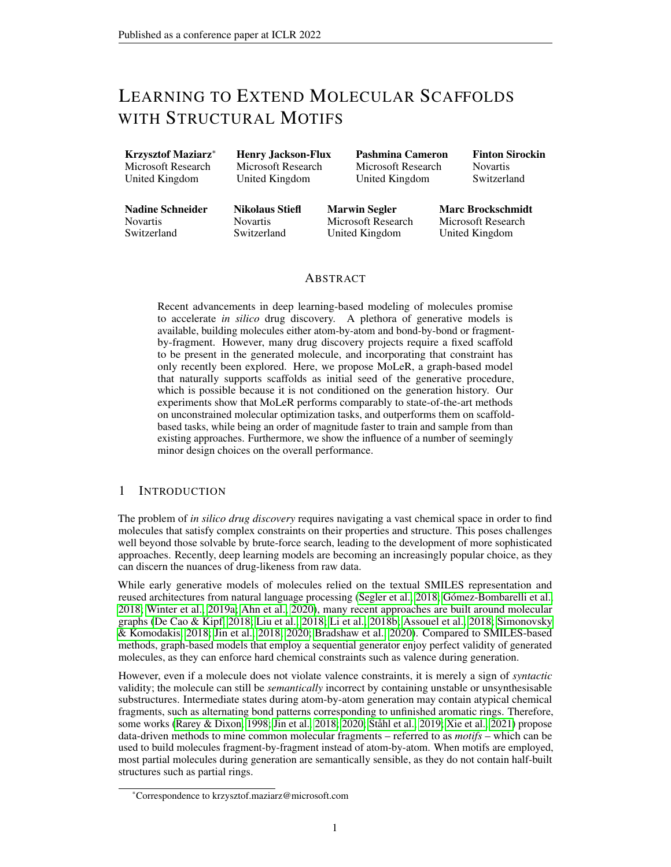This makes it explicit that different generation steps for a fixed input molecule do not depend on each other. Figure [1](#page-1-1) illustrates this visually, as there are no dependencies between the individual steps. We use this to train in parallel on all generation steps at once (i.e., a batch is made up of many steps like (1)-(5) in Figure [1\)](#page-1-1). Additionally, we *subsample* generation steps, i.e., uniformly at random drop some of the generation steps from training, to get a wider variety of molecules within each batch. These enhancements improve training speed and robustness, and are feasible precisely because our model does not depend on the generation history. In Appendix [I.2](#page-21-0) we show empirically that subsampling leads to faster convergence on several downstream metrics.

Finally, following prior works [\(Gómez-Bombarelli et al., 2018;](#page-10-0) [Winter et al., 2019a;](#page-12-0) [Li et al., 2021\)](#page-10-12), we use  $\mathcal{L}_{prop}(x)$  to ensure that simple chemical properties can be accurately predicted from the latent encoding of a molecule. Concretely, we use an MLP regressor on top of the sampled latent code  $z$  to predict molecular weight, synthetic accessibility (SA) score, and octanol-water partition coefficient (logP), using MSE on these values as objective. We found that choosing the weight  $\lambda_{prop}$ of this objective to be smaller than 0.1 was necessary to avoid the decoder ignoring the latent code  $z$ . All of these properties can be readily computed from the input molecule  $x$  using the RDK it library, and hence do not require additional annotations in the training data. Note that due to the inherent stochasticity in the VAE encoding process, obtaining a low value of  $\mathcal{L}_{prop}$  is only possible if the latent space learned by  $q_{\theta}$  is smooth with respect to the predicted properties.

# <span id="page-4-0"></span>3 EXPERIMENTS

Setup We use training data from GuacaMol [\(Brown et al., 2019\)](#page-9-7), which released a curated set of  $≈1.5M$  drug-like molecules, divided into train, validation and test sets. We train MoLeR on the GuacaMol training set until loss on the validation set does not improve; we then use the best checkpoint selected based on validation loss to evaluate on downstream tasks. As discussed above, we found that subsampling generation sequence steps to use only half of the steps per molecule tends to speed up convergence, as it yields more variety within each batch. Therefore, we subsample generation steps for all MoLeR experiments unless noted otherwise. For molecular optimization, we pair MoLeR with Molecular Swarm Optimization (MSO) [\(Winter et al., 2019b\)](#page-12-3), which is a black-box latent space optimization method that was shown to achieve state-of-the-art performance. For more details on the training routine, experimental setup, and hyperparameters, see Appendix [C.](#page-14-0) We show samples from the model's prior in Appendix [D.](#page-16-0)

Baselines As baselines, we consider three established graph-based generative models: CGVAE [\(Liu](#page-10-1) [et al., 2018\)](#page-10-1), JT-VAE [\(Jin et al., 2018\)](#page-10-3), and HierVAE [\(Jin et al., 2020\)](#page-10-4). Since the publicly released code of [Liu et al.](#page-10-1) [\(2018\)](#page-10-1) does not scale to datasets as large as GuacaMol, we re-implemented CGVAE following the released code to make it more efficient. For JT-VAE, we used the open-source code, but implemented multithreaded decoding, which made sampling 8x faster. For HierVAE, we used the released code with no changes. Due to the high cost of training JT-VAE and HierVAE, we did not tune their hyperparameters and instead used the default values.

<span id="page-4-2"></span>3.1 QUANTITATIVE RESULTS Table 1: Training and sampling speed for our model and the baselines on a Tesla K80 GPU.

Efficiency We measure the speed of different models in training and inference, quantified by the number of molecules processed per second. Note that we do *not* subsample generation steps for this comparison, so that every model processes all the steps, even though MoLeR can learn from only a subset of them. We compare

<span id="page-4-1"></span>

| Model          |      | Train (mol/sec) Sample (mol/sec) |
|----------------|------|----------------------------------|
| <b>CGVAE</b>   | 57.0 | 1.4                              |
| <b>JT-VAE</b>  | 3.2  | 3.4                              |
| <b>HierVAE</b> | 17.0 | 12.3                             |
| MoLeR          | 95.2 | 34.2                             |

these results in Table [1.](#page-4-1) We see that, thanks to a simpler formulation and parallel training on all generation steps, MoLeR is much faster than all baselines for both training and inference.

Unconstrained Generation Similarly to [Brown et al.](#page-9-7) [\(2019\)](#page-9-7), we use Frechet ChemNet Distance (FCD) [\(Preuer et al., 2018\)](#page-11-6) to measure how much sampled molecules resemble those in the training data. We show the results in Figure [2](#page-5-0) (left), in which we compare different models and variations of MoLeR trained with different choices of generation order (see Section [2.3\)](#page-3-1) and different motif vocabulary sizes. It shows that MoLeR with a large vocabulary outperforms the baselines substantially,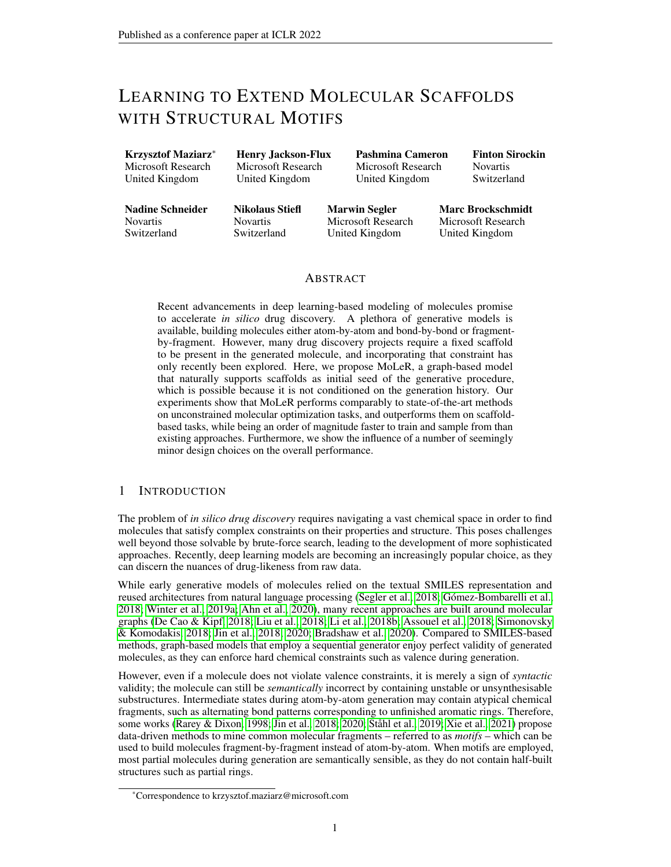<span id="page-5-0"></span>

Figure 2: Frechet ChemNet Distance (lower is better) for different generation orders and vocabulary sizes. We consider generation from scratch (left), and generation starting from a scaffold (right).

despite being much faster to train and sample from, and having support for scaffold-constrained generation. Furthermore, we can see that MoLeR's performance increases as the vocabulary size grows. Finally, we note that training with generation orders with a deterministic starting point performs best, and that random order performs less well, as modeling a wide range of orders is harder.

Unlike some prior work [\(De Cao & Kipf, 2018;](#page-9-1) [Brown et al., 2019\)](#page-9-7), we do not compare validity, uniqueness and novelty, as our models get near-perfect results on these metrics, making comparison meaningless. Concretely, we obtain 100% validity by design (due to the use of valence checks), uniqueness above 99%, and novelty above 97%.

Scaffold-constrained Generation Next, we consider the setting of enforcing a given scaffold. We first choose a chemically relevant scaffold  $\Sigma$  [\(PubChem CID 12658820\)](#page-11-7) that commonly appears in GuacaMol training data. We then estimate the posterior distribution on latent codes induced by  $\Sigma$  by encoding all training molecules that contain it and approximating the result with a Gaussian Mixture Model (GMM) with 50 mixture components. Finally, we draw latent codes from the GMM, decode them starting the generation process from  $\Sigma$ , and compare the resulting molecules with molecules from the data that contain  $\Sigma$ . By using samples from the GMM-approximated posterior, as opposed to samples from the prior, we ensure that we use latent codes which are *compatible* with the scaffold  $\Sigma$ , which we found to dramatically improve the downstream metrics. Intuitively, constraining the decoding restricts the latent codes of output molecules to a manifold defined by the scaffold constraint; using an approximate posterior ensures that the projected samples lie close to that manifold.

In Figure [2](#page-5-0) (right) we show the resulting FCD. We find that the relative performance of different generation orders is largely *reversed*: since the models trained with canonical order can only complete prefixes of that order, they are not well equipped to complete arbitrary scaffolds. On the other hand, models trained with randomized orders are more flexible and handle the task well. As with generation from scratch, using a larger motif vocabulary tends to help, especially if motifs happen to decompose the scaffold into smaller fragments (or even the entire scaffold may appear in the vocabulary). Finally, we note that BFS order using a random starting point gives the best results for this task, while still showing good performance for unconstrained sampling.

Unconstrained Optimization We experiment on the GuacaMol optimization benchmarks [\(Brown](#page-9-7) [et al., 2019\)](#page-9-7), tracking two metrics: raw performance score, and quality, defined as absence of undesirable substructures. In Table [2](#page-6-0) (left), we compare our results with those taken from the literature. We find that MoLeR maintains a good balance between raw score and quality. Note that the quality filters are not directly available to the models during optimization, and rather are evaluated post-hoc on the optimized molecules. This ensures that high quality scores can only be achieved if the model is biased towards reasonable molecules, and not by learning to exploit and "slip through" the quality filters, similarly to what has been shown for property predictors [\(Renz et al., 2020\)](#page-11-8). Consequently, the best performing models often produce unreasonable molecules [\(Winter et al.,](#page-12-3) [2019b;](#page-12-3) [Xu et al., 2020\)](#page-12-5). While the SMILES LSTM baseline of [Brown et al.](#page-9-7) [\(2019\)](#page-9-7) also gets good results on both score and quality, as we will see below, it struggles to complete arbitrary scaffolds. Note that, out of 20 tasks in this suite, only one tests optimization from a scaffold, and that task uses a small scaffold (Figure [3](#page-6-0) (top)), making it relatively easy (even simple models get near-perfect results). In contrast, scaffolds typically used in drug discovery are much more complex [\(Schuffenhauer et al.,](#page-11-3) [2007;](#page-11-3) [Schuffenhauer, 2012\)](#page-11-9). We conclude that while MoLeR shows good performance on GuacaMol tasks, they do not properly evaluate the ability to complete realistic scaffolds.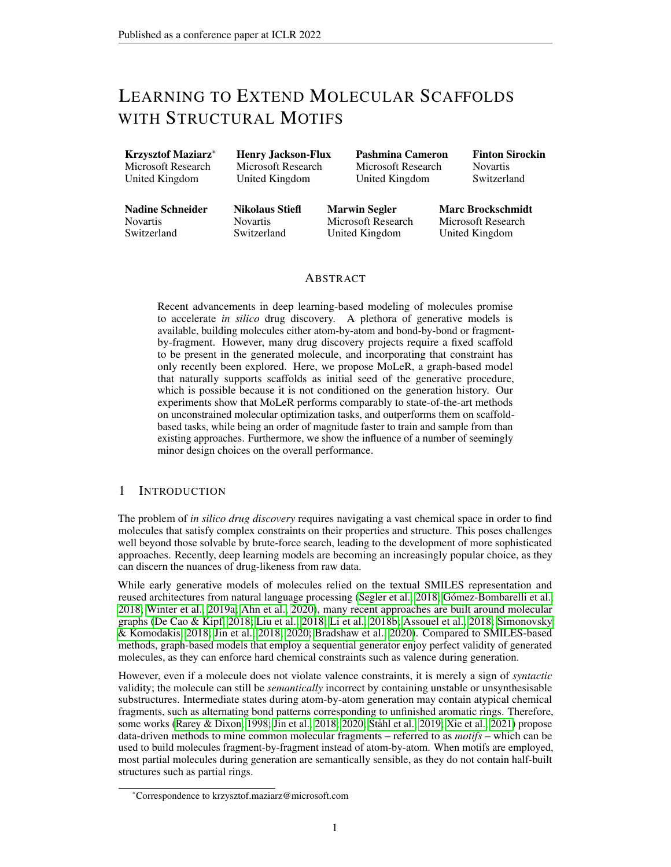|                    | GuacaMol |         | Scaffolds |         |
|--------------------|----------|---------|-----------|---------|
| Method             | Score    | Ouality | Score     | Ouality |
| Best of dataset    | 0.61     | 0.77    | 0.17      |         |
| <b>SMILES LSTM</b> | 0.87     | 0.77    | 0.45      |         |
| <b>SMILES GA</b>   | 0.72     | 0.36    | 0.45      |         |
| <b>GRAPH MCTS</b>  | 0.45     | 0.22    | 0.20      |         |
| <b>GRAPH GA</b>    | 0.90     | 0.40    | 0.79      |         |
| $CDDD + MSO$       | 0.90     | 0.58    | 0.92      | 0.59    |
| MNCE-RL            | 0.92     | 0.54    | 0.95      | 0.47    |
| $Mol_eR + MSO$     | 0.82     | 0.75    | 0.93      | 0.63    |

<span id="page-6-0"></span>Table 2: Results on 20 GuacaMol tasks (left) and 4 additional scaffold-based tasks (right). First five rows correspond to baselines from [Brown et al.](#page-9-7) [\(2019\)](#page-9-7). We do not compute





Figure 3: Scaffold from a GuacaMol benchmark (top) and a scaffold from our additional benchmark (bottom).

Scaffold-constrained Optimization To evaluate scaffold-constrained optimization, we extend the GuacaMol benchmarks with 4 new scaffold-based tasks, using larger scaffolds extracted from or inspired by clinical candidate molecules or marketed drugs, which are more representative of realworld drug discovery (e.g. Figure [3](#page-6-0) (bottom)). The task is to perform scaffold-constrained exploration towards a target property profile; as the components of the scoring functions are aggregated via the geometric mean, and presence of the scaffold is binary, molecules that do not contain the scaffold receive a total score of 0 (see Appendix [E](#page-17-0) for more details). We show the results in Table [2](#page-6-0) (right). We see that MoLeR performs well, while most baseline approaches struggle to maintain the scaffold.

Finally, we run the tasks of [Lim et al.](#page-10-5) [\(2019\)](#page-10-5), where the aim is to generate 100 distinct decorations of large scaffolds to match one or several property targets: molecular weight, logp and TPSA. While the model of [Lim et al.](#page-10-5) [\(2019\)](#page-10-5) is specially designed to produce samples conditioned on the values of these three properties in one-shot, we convert the target property values into a single objective that we can optimize with MSO. Concretely, for each property we compute the absolute difference to the target value, which we divide by the result of [Lim et al.](#page-10-5) [\(2019\)](#page-10-5) for a given task, and then average over all properties of interest; under the resulting metric, the model of [Lim et al.](#page-10-5) [\(2019\)](#page-10-5) gets a score of 1.0 by design. We show the results in Figure [4.](#page-7-0) Despite not being trained for this this task, MoLeR outperforms the baseline on all benchmarks. These results show that MoLeR can match the capabilities of existing scaffold-based models out-of-the-box. To verify that this cannot be attributed solely to using MSO, we also tried using CDDD as the generative model. We find that CDDD often produces invalid molecules or molecules that do not contain the scaffold; MoLeR avoids both of these problems thanks to valence constraints and scaffold-constrained generation. As a result, in some cases CDDD needs many steps to discover 100 distinct decorations or does not discover them at all; having 100 decorations is needed to compare the average result to [Lim et al.](#page-10-5) [\(2019\)](#page-10-5). Thus, for CDDD we plot a modified score by duplicating the worst score an appropriate number of times; this was not needed for MoLeR, as it always finds enough decorations in the first few steps.

#### 3.2 QUALITATIVE RESULTS

Unconstrained and constrained interpolation To test the smoothness of our latent space and analyze how adding the scaffold constraint impacts decoding, we select a chemically relevant scaffold [\(PubChem CID 7375\)](#page-11-10) and two dissimilar molecules  $m_1$  and  $m_2$  that contain it. We then linearly interpolate between the latent encodings of  $m_1$  and  $m_2$ , and select those intermediate points at which the corresponding decoded molecule changes. We show in Figure [5](#page-7-1) (top) that MoLeR correctly identifies a smooth transition from  $m_1$  to  $m_2$ . Most of the differences between  $m_1$  and  $m_2$ stem from the latter containing two additional rings, and we see that rings are consistently added during the interpolation. For example, in the third step, the molecule grows by one extra ring, but of a type that does not appear in  $m_2$ ; in the next step, this ring transforms into the correct type, and is then present in all subsequent steps (a similar pattern can be observed for the other ring). However, we see that some intermediate molecules do not contain the scaffold: although all of the scaffold's building blocks are present, the interpolation goes through a region in which the model decides to move the NH group to a different location, thus breaking the integrity of the scaffold. This shows that while latent space distance strongly correlates with structural similarity, latent space smoothness alone does not guarantee the presence of a scaffold, which necessitates scaffold-based generation.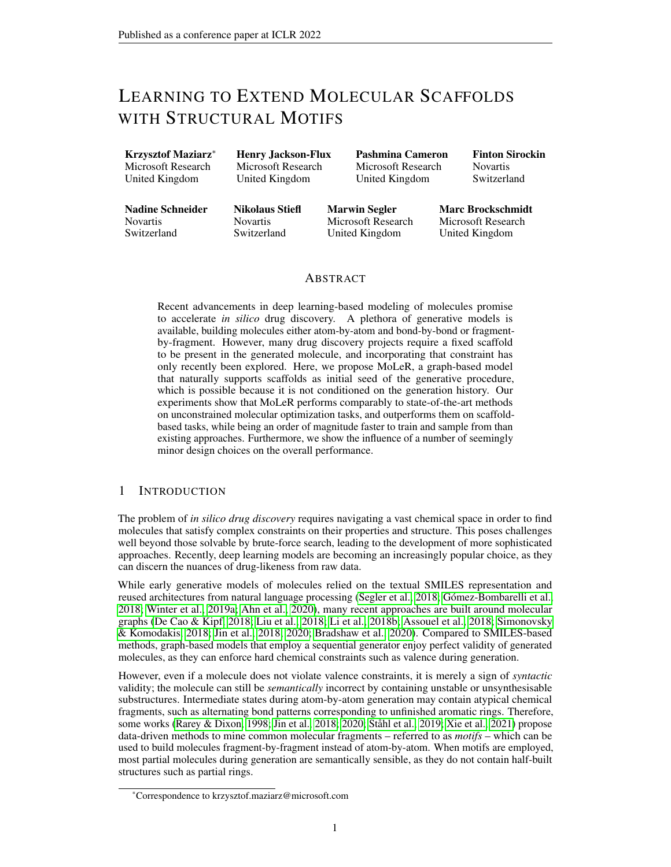<span id="page-7-0"></span>

Figure 4: Comparison on tasks from [Lim et al.](#page-10-5) [\(2019\)](#page-10-5). We show both single-property optimization tasks as well as one where all properties must be optimized simultaneously. We plot averages and standard error over 20 runs for each task; each run uses a different scaffold and property targets.

<span id="page-7-1"></span>

Figure 5: Interpolation between latent encodings of two molecules; unconstrained decoding (top), constrained with scaffold (bottom). The scaffold is highlighted in each molecule that contains it.

In contrast, in Figure [5](#page-7-1) (bottom), we show the same sequence of latent codes decoded with a scaffold constraint. We see that the constraint keeps the NH group locked in place, so that all intermediate molecules contain the scaffold. The molecule decoded under a scaffold constraint is typically very similar to the one decoded without, showing that constrained decoding preserves chemical features that are not related to the presence of the scaffold. However, when trying to include the scaffold, our model does not have to resort to a simple rearrangement of existing building blocks: for example, in the 7th step, adding a constraint also modifies one of the ring types, which results in a smoother interpolation in comparison to the unconstrained case. Finally, while the interpolation points were chosen to remove duplicates from the unconstrained path, we see that the last two latent points both get mapped to  $m_2$  when the constraint is introduced. This is because the last step of the unconstrained interpolation merely rearranges the motifs, moving back the NH group to its initial location, and restoring the scaffold. This modification is not needed if the scaffold is already present, and therefore our model chooses to project both latent codes to the same point on the scaffold-constrained manifold.

Latent Space Neighborhood To analyze the structure of our scaffold-constrained latent space, we select another scaffold and perform scaffold-constrained decoding of a group of neighboring latent points. We note that close-by latent codes decode to similar molecules, often composing the same motifs in a different way, mirroring the observation of [Jin et al.](#page-10-3) [\(2018\)](#page-10-3). Moreover, some latent space directions seem to track simple chemical properties. For further analysis of this result see Appendix [F.](#page-18-0)

Learned Motif Representations To better understand how MoLeR uses motifs, we extract learned motif representations from a trained model. We found that, despite the weights having no *direct* access to molecular structure or features of motifs, nearest neighbors in the representation space correspond to pairs of nearly identical motifs. See Appendix [G](#page-19-0) for visualization and further discussion.

#### 3.3 ABLATIONS

We tested a number of ablations of our model to analyze the effect of its individual components. Figure [2](#page-5-0) shows the effect of motif vocabulary size; in particular, the points for 0 motifs correspond to not using any motif information at all. In Appendix [H](#page-19-1) we repeat the analysis from Figure [2](#page-5-0) for optimization performance, showing that some of the trends transfer also to that setting. Finally, we considered partially removing motifs by not using motif embeddings in the encoder, and found that this also decreases performance, as the model needs to use some of its capacity to recognize motifs in the input graphs (see Appendix [I.1](#page-20-0) for details).

We also evaluated the impact of subsampling generation steps (as described in Section [2.4\)](#page-3-2), and found that this method allows MoLeR to match the training data more rapidly, as measured by FCD (see Appendix [I.2](#page-21-0) for details). Finally, we analyzed the influence of using the auxiliary loss term  $\mathcal{L}_{prop}$ , and found that in a model trained without this objective, molecules that are close in latent space are less similar to each other in important chemical properties such as synthetic accessibility (details can be found in Appendix [I.3\)](#page-21-1).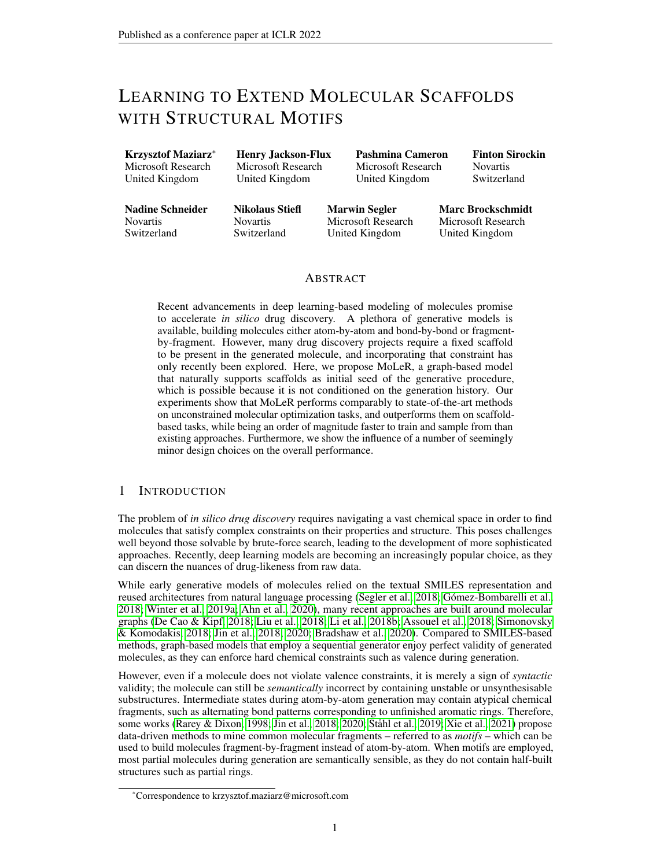# <span id="page-8-0"></span>4 RELATED WORK

Our work naturally relates to the rich family of *in silico* drug discovery methods. However, it is most related to works that perform iterative generation of molecular graphs, works that employ fragments or motifs, and works that explicitly consider scaffolds.

Iterative generation of molecular graphs Many graph-based models for molecule generation employ some form of iterative decoding. Often a single arbitrary ordering is chosen: [Liu et al.](#page-10-1) [\(2018\)](#page-10-1) first generate all atoms in a one-shot manner, and then generate bonds in BFS order; [Jin et al.](#page-10-3) [\(2018;](#page-10-3) [2020\)](#page-10-4) generate a coarsened tree-structured form of the molecular graph in a deterministic DFS order; and [You et al.](#page-12-6) [\(2018\)](#page-12-6) use random order. Some works go beyond a single ordering: [Liao et al.](#page-10-13) [\(2019\)](#page-10-13) marginalize over several orders, while [Mercado et al.](#page-11-11) [\(2020\)](#page-11-11) try both random and canonical, and find the latter produces better samples, which is consistent with our unconstrained generation results. [Sacha et al.](#page-11-12) [\(2020\)](#page-11-12) generate graph edits with the goal of modeling reactions, and evaluate a range of editing orders. Although the task in their work is different, the results are surprisingly close to ours: a fully random order performs badly, and the optimal amount of non-determinism is task-dependent.

Motif extraction Several other works make use of motif extraction approaches related to the one described in Section [2.1.](#page-1-2) [Jin et al.](#page-10-4) [\(2020\)](#page-10-4) propose a very similar strategy, but additionally do not break *leaf bonds*, i.e. bonds incident to an atom of degree 1, which we found produces many motifs that are variations of the same underlying structure (e.g. a ring) with different combinations of leaf atoms; for simplicity, we chose to omit that rule in our extraction strategy. More complex molecular fragmentation approaches also exist [\(Degen et al., 2008\)](#page-10-14), and we plan to explore them in future work.

**Motif-based generation** Our work is closely related to the work of [Jin et al.](#page-10-3) [\(2018;](#page-10-3) [2020\)](#page-10-4), which also uses motifs to generate molecular graphs. However, these works cannot be easily extended to scaffold-based generation, and cannot generate molecules which use building blocks not covered by the motif vocabulary. While HierVAE [\(Jin et al., 2020\)](#page-10-4) does include individual atoms and bonds in its vocabulary, motifs are still assembled in a tree-like manner, meaning that the model cannot generate an arbitrary cyclic structure if its base cycles are not present in the vocabulary.

**Scaffold-conditioned generation** Some prior works can construct molecules under a hard scaffold constraint. [Lim et al.](#page-10-5) [\(2019\)](#page-10-5) proposes a graph-based model with persistent state; scaffold-based generation is possible because the model is explicitly trained on (scaffold, molecule) pairs. In contrast, MoLeR treats *every* intermediate partial graph as if it were a scaffold to be completed. [Li et al.](#page-10-15) [\(2018a\)](#page-10-15) use a soft constraint, where the scaffold is part of the input, but is not guaranteed to be present in the generated molecule. Finally, [Arús-Pous et al.](#page-9-4) [\(2020\)](#page-9-4); [Langevin et al.](#page-10-7) [\(2020\)](#page-10-7) adapt SMILES-based models to work with scaffolds, and cannot guarantee validity of generated molecules.

Overall, it is non-trivial to extend existing molecule generators to the scaffold setting. For SMILESbased models, the scaffold may not be represented by a substring of the SMILES representation of the complete molecule, and so its presence cannot easily be enforced by forcing some of the decoder's choices. Junction tree-based models [\(Jin et al., 2018\)](#page-10-3) start the generation at a leaf of the junction tree, but the junction tree for a scaffold does not necessarily match that of the full molecule, or reaches its leaves. Furthermore, graph-based models often use a recurrent state updated throughout the entire generative procedure [\(Jin et al., 2018;](#page-10-3) [2020\)](#page-10-4). Finally, fragment-based models that do not support substructures not covered by their fragment library [\(Jin et al., 2020\)](#page-10-4) fail when a scaffold is not fully covered by known fragments. MoLeR, through seemingly minor design choices (graph-based, conditioned only on a partial graph, not reliant on a fixed generation order, flexibility to switch between fragment-based and atom-by-atom generation), side-steps all of these issues.

# 5 CONCLUSION

In this work, we presented MoLeR: a novel graph-based model for molecular generation. As our model does not depend on history, it can complete arbitrary scaffolds, while still outperforming state-of-the-art graph-based generative models in unconstrained generation. Our quantitative and qualitative results show that MoLeR retains desirable properties of generative models - such as smooth interpolation - while respecting the scaffold constraint. Finally, we show that it exhibits good performance in unconstrained optimization, while excelling in scaffold-constrained optimization.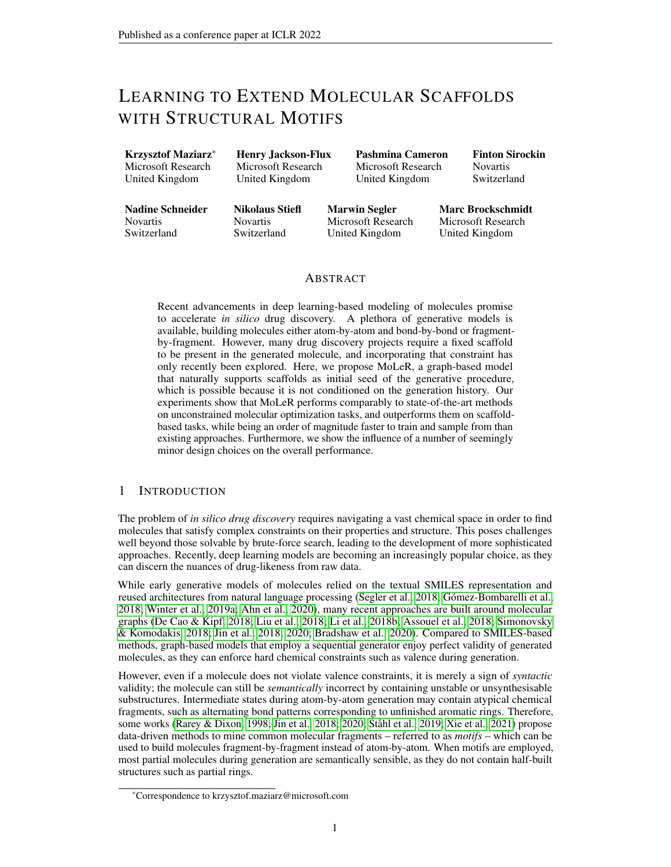# 6 ETHICS STATEMENT

As we consider our work to be fundamental research, there are no direct ethical risks or societal consequences; these have to be analyzed per concrete applications. Broadly speaking, tools such as MoLeR can be widely beneficial for the pharmaceutical industry. However, note that while MoLeR performs optimization tasks that would otherwise be done manually by medicinal chemists, it is unlikely to be considered a replacement for them, and rather an enhancement to their creative process.

#### 7 ACKNOWLEDGMENTS

We would like to thank Hubert Misztela, Michał Pikusa and William Jose Godinez Navarro for work on the JT-VAE baseline. Moreover, we want to acknowledge the larger team (Ashok Thillaisundaram, Jessica Lanini, Megan Stanley, Nikolas Fechner, Paweł Czyz, Richard Lewis, Sarah Lewis and Qurrat ˙ Ul Ain) for engaging in helpful discussions.

#### **REFERENCES**

- <span id="page-9-10"></span>Martín Abadi, Paul Barham, Jianmin Chen, Zhifeng Chen, Andy Davis, Jeffrey Dean, Matthieu Devin, Sanjay Ghemawat, Geoffrey Irving, Michael Isard, et al. Tensorflow: A system for large-scale machine learning. In *12th USENIX symposium on operating systems design and implementation (OSDI 16)*, pp. 265–283, 2016.
- <span id="page-9-0"></span>Sungsoo Ahn, Junsu Kim, Hankook Lee, and Jinwoo Shin. Guiding deep molecular optimization with genetic exploration. *arXiv preprint arXiv:2007.04897*, 2020.
- <span id="page-9-11"></span>Apixaban. Pubchem compound summary for cid 10182969, apixaban. November, 2021. URL <https://pubchem.ncbi.nlm.nih.gov/compound/Apixaban>.
- <span id="page-9-4"></span>Josep Arús-Pous, Atanas Patronov, Esben Jannik Bjerrum, Christian Tyrchan, Jean-Louis Reymond, Hongming Chen, and Ola Engkvist. Smiles-based deep generative scaffold decorator for de-novo drug design. *Journal of cheminformatics*, 12:1–18, 2020.
- <span id="page-9-2"></span>Rim Assouel, Mohamed Ahmed, Marwin H Segler, Amir Saffari, and Yoshua Bengio. Defactor: Differentiable edge factorization-based probabilistic graph generation. *arXiv preprint arXiv:1811.09766*, 2018.
- <span id="page-9-9"></span>Jimmy Lei Ba, Jamie Ryan Kiros, and Geoffrey E Hinton. Layer normalization. *arXiv preprint arXiv:1607.06450*, 2016.
- <span id="page-9-6"></span>Samuel R. Bowman, Luke Vilnis, Oriol Vinyals, Andrew Dai, Rafal Jozefowicz, and Samy Bengio. Generating sentences from a continuous space. In *Proceedings of The 20th SIGNLL Conference on Computational Natural Language Learning*, pp. 10–21, 2016.
- <span id="page-9-3"></span>John Bradshaw, Brooks Paige, Matt J Kusner, Marwin HS Segler, and José Miguel Hernández-Lobato. Barking up the right tree: an approach to search over molecule synthesis dags. *arXiv preprint arXiv:2012.11522*, 2020.
- <span id="page-9-5"></span>Marc Brockschmidt. GNN-film: Graph neural networks with feature-wise linear modulation. In *International Conference on Machine Learning*, pp. 1144–1152. PMLR, 2020.
- <span id="page-9-7"></span>Nathan Brown, Marco Fiscato, Marwin HS Segler, and Alain C Vaucher. Guacamol: benchmarking models for de novo molecular design. *Journal of chemical information and modeling*, 59(3): 1096–1108, 2019.
- <span id="page-9-8"></span>Gabriele Corso, Luca Cavalleri, Dominique Beaini, Pietro Liò, and Petar Veličković. Principal neighbourhood aggregation for graph nets. *arXiv preprint arXiv:2004.05718*, 2020.
- <span id="page-9-1"></span>Nicola De Cao and Thomas Kipf. Molgan: An implicit generative model for small molecular graphs. *arXiv preprint arXiv:1805.11973*, 2018.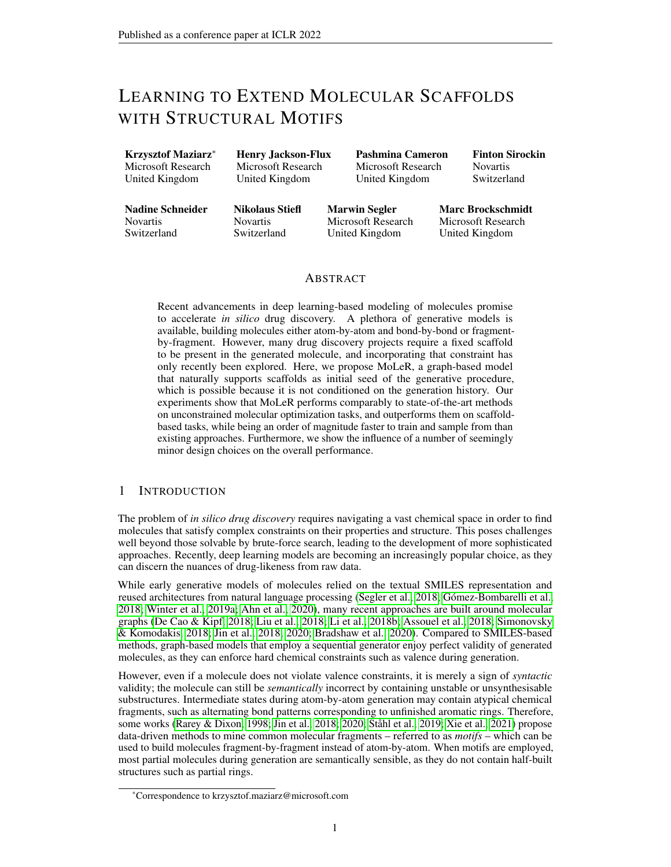- <span id="page-10-14"></span>Jörg Degen, Christof Wegscheid-Gerlach, Andrea Zaliani, and Matthias Rarey. On the art of compiling and using'drug-like'chemical fragment spaces. *ChemMedChem: Chemistry Enabling Drug Discovery*, 3(10):1503–1507, 2008.
- <span id="page-10-16"></span>Justin Gilmer, Samuel S Schoenholz, Patrick F Riley, Oriol Vinyals, and George E Dahl. Neural message passing for quantum chemistry. *arXiv preprint arXiv:1704.01212*, 2017.
- <span id="page-10-0"></span>Rafael Gómez-Bombarelli, Jennifer N Wei, David Duvenaud, José Miguel Hernández-Lobato, Benjamín Sánchez-Lengeling, Dennis Sheberla, Jorge Aguilera-Iparraguirre, Timothy D Hirzel, Ryan P Adams, and Alán Aspuru-Guzik. Automatic chemical design using a data-driven continuous representation of molecules. *ACS central science*, 4(2):268–276, 2018.
- <span id="page-10-3"></span>Wengong Jin, Regina Barzilay, and Tommi Jaakkola. Junction tree variational autoencoder for molecular graph generation. *arXiv preprint arXiv:1802.04364*, 2018.
- <span id="page-10-4"></span>Wengong Jin, Regina Barzilay, and Tommi Jaakkola. Hierarchical generation of molecular graphs using structural motifs. *arXiv preprint arXiv:2002.03230*, 2020.
- <span id="page-10-18"></span>Diederik P Kingma and Jimmy Ba. Adam: A method for stochastic optimization. *arXiv preprint arXiv:1412.6980*, 2014.
- <span id="page-10-11"></span>Diederik P Kingma and Max Welling. Auto-encoding variational bayes. *arXiv preprint arXiv:1312.6114*, 2013.
- <span id="page-10-10"></span>Thomas N Kipf and Max Welling. Semi-supervised classification with graph convolutional networks. *arXiv preprint arXiv:1609.02907*, 2016.
- <span id="page-10-8"></span>Greg Landrum et al. Rdkit: Open-source cheminformatics. 2006. URL [http://www.rdkit.](http://www.rdkit.org) [org](http://www.rdkit.org).
- <span id="page-10-7"></span>Maxime Langevin, Hervé Minoux, Maximilien Levesque, and Marc Bianciotto. Scaffold-constrained molecular generation. *Journal of Chemical Information and Modeling*, 2020.
- <span id="page-10-19"></span>Lenacapavir. Pubchem compound summary for cid 133082658, lenacapavir. November, 2021. URL <https://pubchem.ncbi.nlm.nih.gov/compound/Lenacapavir>.
- <span id="page-10-15"></span>Yibo Li, Liangren Zhang, and Zhenming Liu. Multi-objective de novo drug design with conditional graph generative model. *Journal of cheminformatics*, 10(1):1–24, 2018a.
- <span id="page-10-6"></span>Yibo Li, Jianxing Hu, Yanxing Wang, Jielong Zhou, Liangren Zhang, and Zhenming Liu. Deepscaffold: A comprehensive tool for scaffold-based de novo drug discovery using deep learning. *Journal of chemical information and modeling*, 60(1):77–91, 2019.
- <span id="page-10-12"></span>Yifeng Li, Hsu Kiang Ooi, and Alain Tchagang. Deep evolutionary learning for molecular design, 2021. URL [https://openreview.net/forum?id=Fo6S5-3Dx\\_](https://openreview.net/forum?id=Fo6S5-3Dx_).
- <span id="page-10-9"></span>Yujia Li, Daniel Tarlow, Marc Brockschmidt, and Richard Zemel. Gated graph sequence neural networks. *arXiv preprint arXiv:1511.05493*, 2015.
- <span id="page-10-2"></span>Yujia Li, Oriol Vinyals, Chris Dyer, Razvan Pascanu, and Peter Battaglia. Learning deep generative models of graphs. *arXiv preprint arXiv:1803.03324*, 2018b.
- <span id="page-10-13"></span>Renjie Liao, Yujia Li, Yang Song, Shenlong Wang, Charlie Nash, William L Hamilton, David Duvenaud, Raquel Urtasun, and Richard S Zemel. Efficient graph generation with graph recurrent attention networks. *arXiv preprint arXiv:1910.00760*, 2019.
- <span id="page-10-5"></span>Jaechang Lim, Sang-Yeon Hwang, Seungsu Kim, Seokhyun Moon, and Woo Youn Kim. Scaffoldbased molecular design using graph generative model. *arXiv preprint arXiv:1905.13639*, 2019.
- <span id="page-10-1"></span>Qi Liu, Miltiadis Allamanis, Marc Brockschmidt, and Alexander Gaunt. Constrained graph variational autoencoders for molecule design. *Advances in neural information processing systems*, 31:7795– 7804, 2018.
- <span id="page-10-17"></span>Andrew L Maas, Awni Y Hannun, and Andrew Y Ng. Rectifier nonlinearities improve neural network acoustic models. In *Proc. icml*, volume 30, pp. 3. Citeseer, 2013.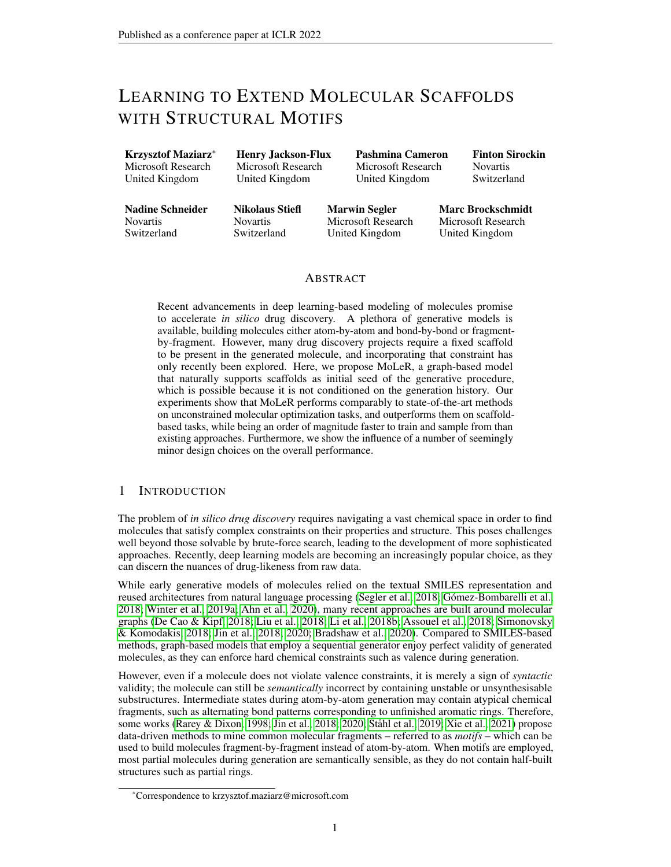- <span id="page-11-11"></span>Rocío Mercado, Tobias Rastemo, Edvard Lindelöf, Günter Klambauer, Ola Engkvist, Hongming Chen, and Esben Jannik Bjerrum. Graph networks for molecular design. *Machine Learning: Science and Technology*, 2020.
- <span id="page-11-13"></span>Adam Paszke, Sam Gross, Francisco Massa, Adam Lerer, James Bradbury, Gregory Chanan, Trevor Killeen, Zeming Lin, Natalia Gimelshein, Luca Antiga, Alban Desmaison, Andreas Kopf, Edward Yang, Zachary DeVito, Martin Raison, Alykhan Tejani, Sasank Chilamkurthy, Benoit Steiner, Lu Fang, Junjie Bai, and Soumith Chintala. Pytorch: An imperative style, high-performance deep learning library. In H. Wallach, H. Larochelle, A. Beygelzimer, F. d'Alché-Buc, E. Fox, and R. Garnett (eds.), *Advances in Neural Information Processing Systems 32*, pp. 8024–8035. Curran Associates, Inc., 2019.
- <span id="page-11-4"></span>Agnieszka Pocha, Tomasz Danel, and Łukasz Maziarka. Comparison of atom representations in graph neural networks for molecular property prediction. *arXiv preprint arXiv:2012.04444*, 2020.
- <span id="page-11-6"></span>Kristina Preuer, Philipp Renz, Thomas Unterthiner, Sepp Hochreiter, and Günter Klambauer. Frechet chemnet distance: a metric for generative models for molecules in drug discovery. *Journal of chemical information and modeling*, 58(9):1736–1741, 2018.
- <span id="page-11-7"></span>PubChem CID 12658820. Pubchem compound summary for cid 12658820 1,4-Dihydroquinoline. January, 2021. URL [https://pubchem.ncbi.nlm.nih.gov/compound/1\\_](https://pubchem.ncbi.nlm.nih.gov/compound/1_4-Dihydroquinoline) 4-Di hydroqui nol i ne.
- <span id="page-11-15"></span>PubChem CID 57732551. Pubchem compound summary for cid 57732551 1,3-Dimethylquinolin-4(1H)-one. January, 2021. URL [https://pubchem.ncbi.nlm.nih.gov/compound/](https://pubchem.ncbi.nlm.nih.gov/compound/1_3-Dimethylquinolin-4_1H_-one) [1\\_3-Dimethylquinolin-4\\_1H\\_-one](https://pubchem.ncbi.nlm.nih.gov/compound/1_3-Dimethylquinolin-4_1H_-one).
- <span id="page-11-10"></span>PubChem CID 7375. Pubchem compound summary for cid 7375, 3-(trifluoromethyl)aniline. January, 2021. URL [https://pubchem.ncbi.nlm.nih.gov/compound/3-\\_](https://pubchem.ncbi.nlm.nih.gov/compound/3-_Trifluoromethyl_aniline) [Trifluoromethyl\\_aniline](https://pubchem.ncbi.nlm.nih.gov/compound/3-_Trifluoromethyl_aniline).
- <span id="page-11-2"></span>Matthias Rarey and J Scott Dixon. Feature trees: a new molecular similarity measure based on tree matching. *Journal of computer-aided molecular design*, 12(5):471–490, 1998.
- <span id="page-11-8"></span>Philipp Renz, Dries Van Rompaey, Jörg Kurt Wegner, Sepp Hochreiter, and Günter Klambauer. On failure modes of molecule generators and optimizers. 2020.
- <span id="page-11-12"></span>Mikołaj Sacha, Mikołaj Błaż, Piotr Byrski, Paweł Włodarczyk-Pruszyński, and Stanisław Jastrzębski. Molecule edit graph attention network: Modeling chemical reactions as sequences of graph edits. *arXiv preprint arXiv:2006.15426*, 2020.
- <span id="page-11-5"></span>Nadine Schneider, Roger A Sayle, and Gregory A Landrum. Get your atoms in order - an open-source implementation of a novel and robust molecular canonicalization algorithm. *Journal of chemical information and modeling*, 55(10):2111–2120, 2015.
- <span id="page-11-9"></span>Ansgar Schuffenhauer. Computational methods for scaffold hopping. *Wiley Interdisciplinary Reviews: Computational Molecular Science*, 2(6):842–867, 2012.
- <span id="page-11-3"></span>Ansgar Schuffenhauer, Peter Ertl, Silvio Roggo, Stefan Wetzel, Marcus A Koch, and Herbert Waldmann. The scaffold tree- visualization of the scaffold universe by hierarchical scaffold classification. *Journal of chemical information and modeling*, 47(1):47–58, 2007.
- <span id="page-11-0"></span>Marwin HS Segler, Thierry Kogej, Christian Tyrchan, and Mark P Waller. Generating focused molecule libraries for drug discovery with recurrent neural networks. *ACS central science*, 4(1): 120–131, 2018.
- <span id="page-11-14"></span>Sildenafil. Pubchem compound summary for cid 135398744, sildenafil. November, 2021. URL <https://pubchem.ncbi.nlm.nih.gov/compound/Sildenafil>.
- <span id="page-11-1"></span>Martin Simonovsky and Nikos Komodakis. Graphvae: Towards generation of small graphs using variational autoencoders. In *International Conference on Artificial Neural Networks*, pp. 412–422. Springer, 2018.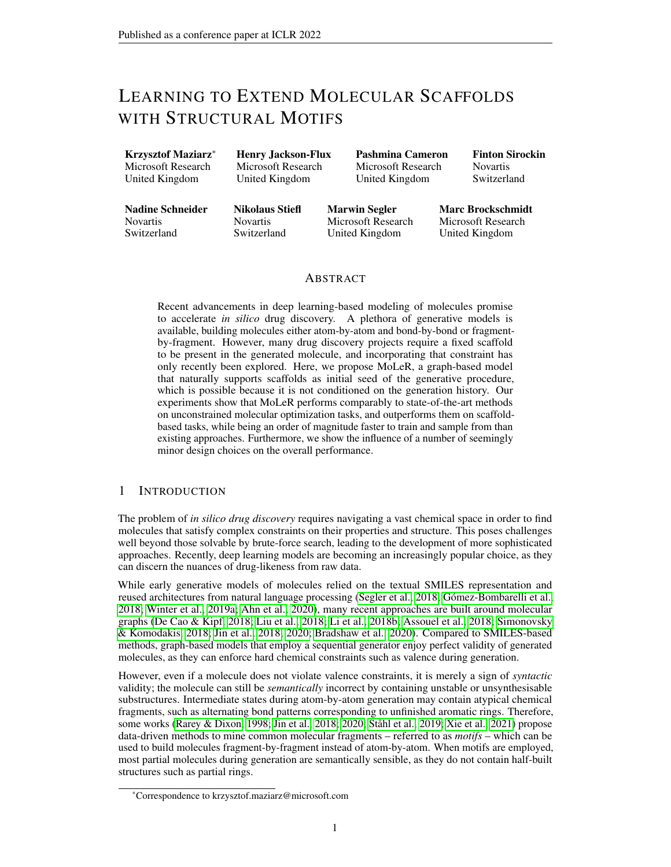- <span id="page-12-1"></span>Niclas Ståhl, Goran Falkman, Alexander Karlsson, Gunnar Mathiason, and Jonas Bostrom. Deep reinforcement learning for multiparameter optimization in de novo drug design. *Journal of chemical information and modeling*, 59(7):3166–3176, 2019.
- <span id="page-12-0"></span>Robin Winter, Floriane Montanari, Frank Noé, and Djork-Arné Clevert. Learning continuous and data-driven molecular descriptors by translating equivalent chemical representations. *Chemical science*, 10(6):1692–1701, 2019a.
- <span id="page-12-3"></span>Robin Winter, Floriane Montanari, Andreas Steffen, Hans Briem, Frank Noé, and Djork-Arné Clevert. Efficient multi-objective molecular optimization in a continuous latent space. *Chem. Sci.*, 10: 8016–8024, 2019b. doi: 10.1039/C9SC01928F. URL [http://dx.doi.org/10.1039/](http://dx.doi.org/10.1039/C9SC01928F) [C9SC01928F](http://dx.doi.org/10.1039/C9SC01928F).
- <span id="page-12-7"></span>Xarelto. Pubchem compound summary for cid 6433119, xarelto. November, 2021. URL [https:](https://pubchem.ncbi.nlm.nih.gov/compound/6433119) [//pubchem.ncbi.nlm.nih.gov/compound/6433119](https://pubchem.ncbi.nlm.nih.gov/compound/6433119).
- <span id="page-12-2"></span>Yutong Xie, Chence Shi, Hao Zhou, Yuwei Yang, Weinan Zhang, Yong Yu, and Lei Li. Mars: Markov molecular sampling for multi-objective drug discovery. *arXiv preprint arXiv:2103.10432*, 2021.
- <span id="page-12-5"></span>Chencheng Xu, Qiao Liu, Minlie Huang, and Tao Jiang. Reinforced molecular optimization with neighborhood-controlled grammars. *arXiv preprint arXiv:2011.07225*, 2020.
- <span id="page-12-4"></span>Keyulu Xu, Weihua Hu, Jure Leskovec, and Stefanie Jegelka. How powerful are graph neural networks? *arXiv preprint arXiv:1810.00826*, 2018.
- <span id="page-12-6"></span>Jiaxuan You, Bowen Liu, Rex Ying, Vijay Pande, and Jure Leskovec. Graph convolutional policy network for goal-directed molecular graph generation. *arXiv preprint arXiv:1806.02473*, 2018.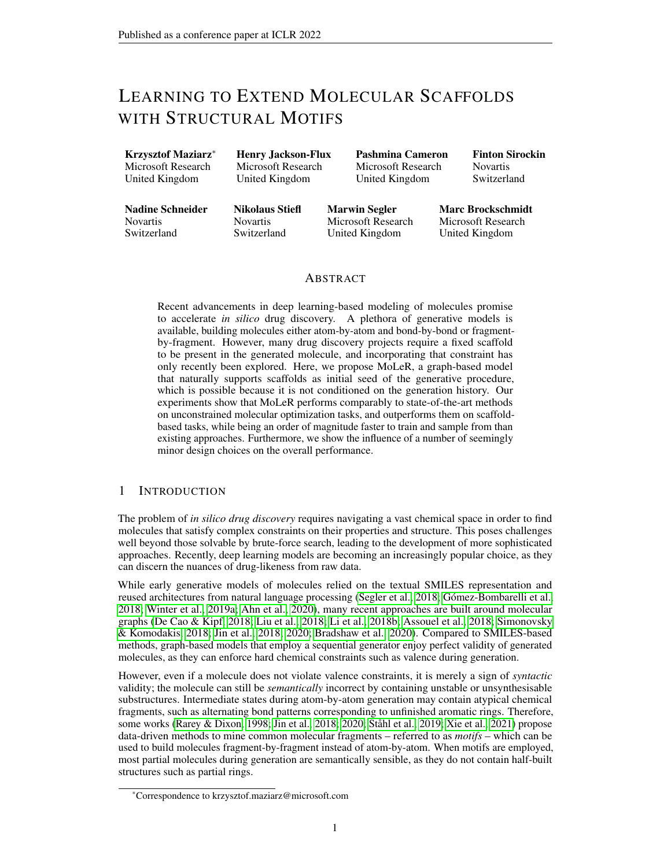### <span id="page-13-0"></span>A BACKGROUND: GRAPH NEURAL NETWORKS

In this work we consider graphs  $\mathcal{G} = (\mathcal{V}, \mathcal{E})$  with vertices  $\mathcal{V}$  and edges  $\mathcal{E}$ . In the case of molecules, edges E correspond to bonds between pairs of atoms, and are thus *typed*, with each bond being either single, double or triple. Formally

 $\mathcal{E} \subseteq \mathcal{V} \times \{\text{single, double, triple}\}\times \mathcal{V}$ 

Note that while cheminformatics tools such as RDKit also distinguish a fourth type of bonds, called *aromatic*, generating aromatic rings in a step-by-step fashion is known to be challenging [\(Jin et al.,](#page-10-3) [2018\)](#page-10-3). Thus, during preprocessing we convert aromatic rings to alternating single and double bonds, following a process called *kekulization*.

Given  $G$ , we learn node and graph representations using Graph Neural Networks. The network begins with starting node representations  $\{\bar{h}_v^0 : v \in \mathcal{V}\}$ ; in our case, we set these to linear projections of the node features  $h_v^{(init)}$ . Each GNN layer propagates node representations  $\{h_v^t : v \in V\}$  to compute  $\{h_v^{t+1} : v \in V\}$  using message passing [\(Gilmer et al., 2017\)](#page-10-16):

$$
h^{t+1}_v = f(h^t_v, \texttt{aggregate}(\{m_\ell(h^t_v, h^t_u) : (v, \ell, u) \in \mathcal{E}\}))
$$

where  $m_\ell$  computes the message between two nodes connected by an edge of type  $\ell$ , aggregate combines all messages received by a given node, and  $f$  computes the new node representation given the old representation and the aggregated messages. A common choice is to use a linear layer for every  $m_l$ , a pointwise sum for aggregate, and a GRU update for  $f$  [\(Li et al., 2015\)](#page-10-9), but many other variants exist [\(Brockschmidt, 2020;](#page-9-5) [Corso et al., 2020\)](#page-9-8).

After L layers of message passing we obtain final representations  $\{h_v^L : v \in V\}$ , with  $h_v^L$ summarizing the  $L$ -hop neighborhood of  $v$ . These representations can be pooled to form a graph-level representation by using any permutation-invariant aggregator, such as a weighted sum.

#### <span id="page-13-1"></span>B ARCHITECTURE

The backbone of our architecture consists of two GNNs: one used to encode the input molecule, and the other used to encode the current partial graph. Both GNNs have the same architecture, but are otherwise completely separate, and do not share any parameters.

To implement our GNNs, we employ the GNN-MLP layer [\(Brockschmidt, 2020\)](#page-9-5). We use 12 layers with separate parameters, Leaky ReLU non-linearities [\(Maas et al., 2013\)](#page-10-17), and LayerNorm [\(Ba](#page-9-9) [et al., 2016\)](#page-9-9) after every GNN layer. If using motifs, we concatenate the atom features with a motif embedding of size 64, and then linearly project the result back into 64 dimensions. We use 64 as the hidden dimension throughout all GNN layers, guided by early experiments showing that wider hidden representations were less beneficial than a deeper GNN. Moreover, to improve the flow of gradients in the GNNs, we produce the final node-level feature vectors by concatenating both initial and intermediate node representations across all layers, resulting in feature vectors of size  $64 \cdot 13 = 832$ . Intuitively, this concatenation serves as a skip connection that shortens the path from the node features to the final representation.

To pool node-level representations into a graph-level representation, we use an expressive multiheaded aggregation scheme. The *i*-th aggregation head consists of two MLPs:  $s^i$  which computes a scalar aggregation score, and  $t^i$  which computes a transformed version of the node representation. These are then used to compute the *i*-th graph-level output  $o<sup>i</sup>$  according to

$$
w^{i} = \text{normalize}(\{s^{i}(h_{v}) : v \in \mathcal{V}\})
$$

$$
o^{i} = \sum_{v \in \mathcal{V}} w_{v}^{i} \cdot t^{i}(h_{v})
$$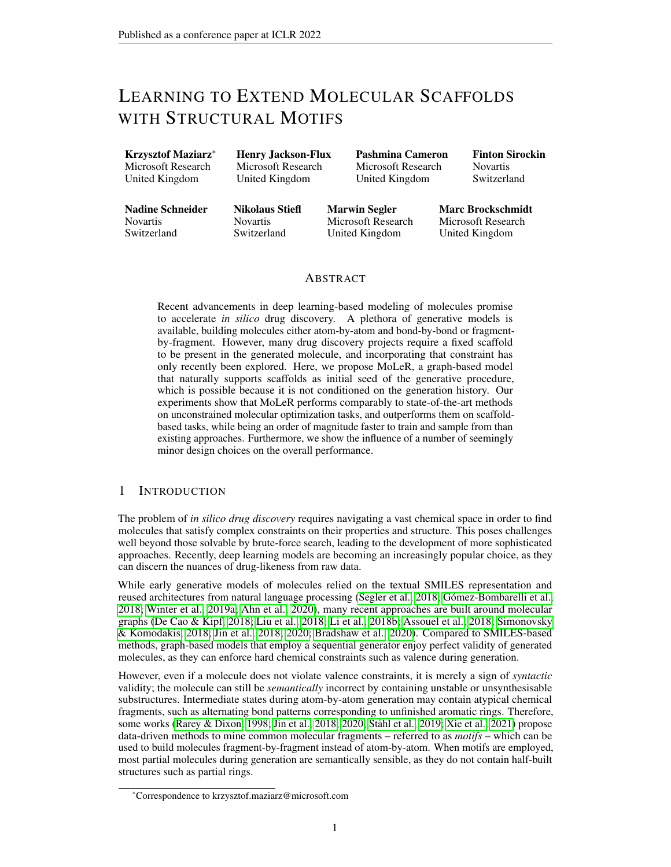Specifically, we compute the scores  $s^i(h_v)$  for all of the nodes, normalize across the graph using normalize, and then use them to construct a weighted sum of the transformed representations  $t^i(h_v)$ . For the normalization function we consider either passing the scores through a softmax (which results in a head that implements a weighted mean) or a sigmoid (weighted sum). We use 32 heads for the encoder GNN, and 16 heads for the partial graphs GNN. In both cases, half of the heads use a softmax normalization, while the other half uses sigmoid. The outputs from all heads are concatenated to form the final graph-level vector; as different heads use different normalization functions (softmax or sigmoid), this is in spirit related to Principal Neighborhood Aggregation [\(Corso et al., 2020\)](#page-9-8), but here used for graph-level readout instead of aggregating node-level messages.

Our node aggregation layer allows to construct a powerful graph-level representation; its dimensionality can be adjusted by varying the number of heads and the output dimension of the transformations  $t_i$ . For input graphs we use a 512-dimensional graph-level representation (which is then transformed to produce the mean and standard deviation of a 512-dimensional latent code  $z$ ), and for partial graphs we use 256 dimensions.

To implement the functions used in our decoder procedure (i.e., the neural networks implementing PickAtomOrMotif, PickAttachment, and PickBond in Algorithm [1\)](#page-2-0), we use simple multilayer perceptrons (MLPs).

The MLP for PickAtomOrMotif has to output a distribution over all atom and motif types and the special END\_GEN option. As input, it receives the latent code  $z$  and the partial molecule representation  $h_{mol}$ . As the number of choices is large, we use hidden layers which maintain high dimensionality (two hidden layers with dimension 256). Predicting the type of the first node in an empty graph would require encoding an *empty* partial molecule to obtain  $h_{mol}$ ; in practice, we side-step this technicality by using a separate MLP to predict the first node type, which takes as input only the latent encoding z.

In contrast, the networks for PickAttachment and PickBond are used as scorers (i.e. need to output a single value), therefore we use MLPs with hidden layers that gradually reduce dimensionality (concretely, three hidden layers with dimension 128, 64, 32, respectively). The MLPs for PickAttachment and PickBond take the latent code  $z$ , the partial molecule representation  $h_{mol}$ , and the representation  $h_v$  of each scored candidate node v. Finally, PickBond not only needs to predict the partner of a bond, but also one of three bond types (single, double and triple); for that we use an additional MLP with the same architecture as the scoring network, but used for classification.

# <span id="page-14-0"></span>C TRAINING AND INFERENCE

We train our model using the Adam optimizer [\(Kingma & Ba, 2014\)](#page-10-18). We found that adding an initial warm-up phase for the KL loss coefficient  $\lambda_{prior}$  (i.e. increasing it from 0 to a target value over the course of training) helps to stabilize the model. However, our warm-up phase is relatively short: we reach the target  $\lambda_{prior}$  in 5000 training steps, whereas full convergence requires around 200 000 steps. This is in contrast to [Jin et al.](#page-10-3) [\(2018\)](#page-10-3), which varies  $\lambda_{prior}$  (also referred to as  $\beta$ ) uniformly over the entire training. A short warm-up phase is beneficial, as it allows to perform early stopping based on reaching a plateau in validation loss; this cannot be done while  $\lambda_{prior}$  is being varied, as there is no clear notion of improvement if the training objective is changing.

When constructing minibatches during training, we combine the molecular graphs until a limit of 25 000 nodes is reached. We cap the total number of nodes rather than the total number of molecules, as that is more robust to varying sizes of molecules in the training data.

# C.1 HYPERPARAMETER TUNING

Due to a very large design space of GNNs, we performed only limited hyperparameter tuning during preliminary experiments. In our experience, improving the modeling (e.g. changing the motif vocabulary or generation order) tends to have a larger impact than tuning low-level GNN architectural choices. For hyperparameters describing the expressiveness of the model, such as the number of layers or hidden representation size, we set them to reasonably high values, which is feasible as our model is very efficient to train. We did not make an attempt to reduce model size; it is likely that a smaller model would give equivalent downstream performance.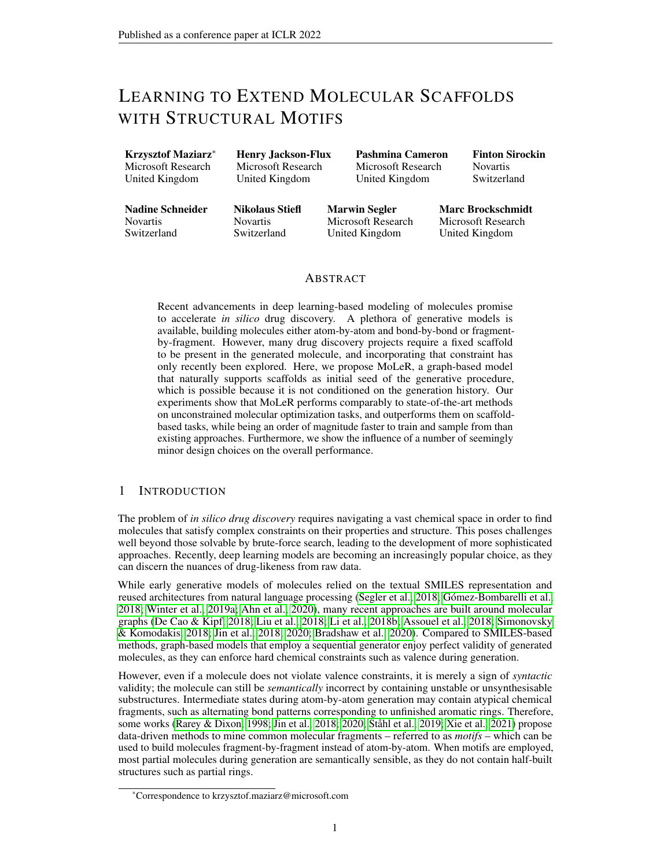One parameter that we found to be tricky to tune is the  $\lambda_{prior}$  coefficient that weighs the  $\mathcal{L}_{prior}$  loss term. An additional complication stems from the fact that we compute  $\mathcal{L}_{rec}$  as an average over the generation steps instead of a sum. While we made this design choice to make the loss scaling robust to training steps subsampling (i.e.  $\lambda_{prior}$  does not have to be adjusted if we use only a subset of steps at training time), it led to decreased robustness when *the difficulty of an average step* varies between experiments. Concretely, when a larger motif vocabulary is used, generating a molecule entails fewer steps, but those steps are harder on average, since the underlying classification tasks distinguish between more classes. In preliminary experiments, we noticed the optimal value of  $\lambda_{prior}$ increased with vocabulary size, closely following a logarithmic trend: doubling the motif vocabulary size translated to the optimum  $\lambda_{prior}$  increasing by 0.005. For vocabulary sizes up to 32 we used  $\lambda_{prior} = 0.01$ , and then followed the logarithmic trend described here. Note that, due to differences in the loss definitions, our value of  $\lambda_{prior}$  is not directly comparable to the values for  $\beta$  in  $\beta$ -VAE works.

Finally, varying the generation order and the size of the motif vocabulary explores different performance trade-offs depending on the downstream task. For all optimization benchmarks in Section [3](#page-4-0) we used 128 motifs; moreover, we chose the BFS order with a random starting point for unconstrained optimization, and the fully random order for scaffold-constrained optimization.

#### C.2 SOFTWARE AND HARDWARE

We performed all experiments on a single GPU. For all measurements in Table [1,](#page-4-1) we used a machine with a single Tesla K80 GPU. Our own implementations (MoLeR, CGVAE) are based on TensorFlow 2 [\(Abadi et al., 2016\)](#page-9-10), while the models of [Jin et al.](#page-10-3) [\(2018;](#page-10-3) [2020\)](#page-10-4) (JT-VAE, HierVAE) use PyTorch [\(Paszke et al., 2019\)](#page-11-13).

Training MoLeR requires first preprocessing the data, which takes up to one CPU day for GuacaMol, followed by training itself, which takes up to a few GPU days. While the generation benchmarks are cheap to run, optimization benchmarks are typically expensive. Each individual optimization benchmark takes between 6 and 130 hours of GPU time, depending on the details of the scoring function and size of the molecules that the algorithm ends up exploring. In particular, scaffold-based optimization benchmarks on average tend to be more compute intensive, as for full correctness the scoring functions need to verify that the scaffold is present (even though with MoLeR it is guaranteed to be included).

# C.3 OPTIMIZATION

To perform optimization we used the original MSO code of [Winter et al.](#page-12-3) [\(2019b\)](#page-12-3); we found that the default hyperparameters already resulted in good performance. However, we made two modifications to the algorithms to make the interplay of MSO and MoLeR smoother.

Deterministic encoding Despite being a black-box optimization method, MSO does use the *encoder* part of the generative model: first, to encode the seed molecules, but more interestingly, to re-encode molecules found in each step of optimization, adjusting the particle positions as  $x \leftarrow \text{encode}(decode(x));$  we hypothesise that the latter was introduced to "snap back" the particles to the latent space region "preferred" by the encoder. Unlike CDDD, MoLeR is a *variational* autoencoder, thus by design the encoding process is non-deterministic; this randomness interacts badly with MSO's re-encoding. Therefore, for all of our optimization experiments we made the MoLeR encoder deterministic by always returning the maximum likelihood latent code  $z$  (which coincides with the mean of the predicted Gaussian).

Latent code clipping One detail of MSO that we adapted to MoLeR is clipping of the particles' latent coordinates. [Winter et al.](#page-12-3) [\(2019b\)](#page-12-3) clip to a hypercube  $[-1,1]^D$  where  $D = 512$  is the latent space dimension; while this makes sense for an unregularized autoencoder such as CDDD, the output of MoLeR's encoder is regularized through the  $\mathcal{L}_{prior}$  loss term. Concretely, the mean of the distribution predicted by the encoder is penalized proportionally to its *norm*. This suggests that a ball may better approximate the encoder's distribution than a hypercube, which we indeed found to hold in practice. Therefore, for MoLeR we clip to a ball of fixed radius  $R = 10$ ; on the GuacaMol benchmarks [\(Brown et al., 2019\)](#page-9-7) this modification alone improved MoLeR's score from 0.77 to 0.82, while also improving quality from 0.74 to 0.76. We chose the radius R so that *almost all* encodings of training set molecules land within the corresponding ball.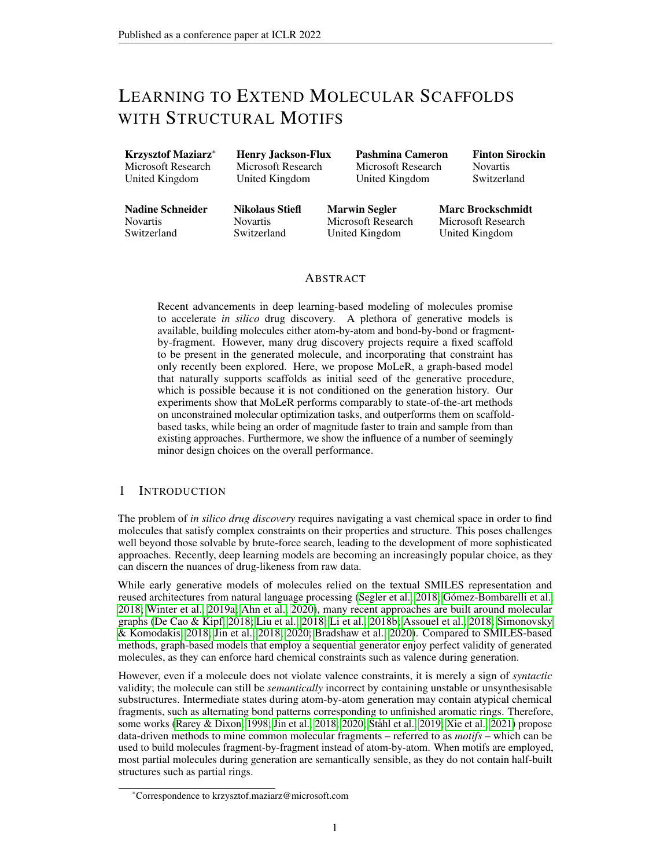# <span id="page-16-0"></span>D SAMPLES FROM THE PRIOR

 $\chi_I \to$  $\sim$   $\sim$   $\sim$ HO O  $\lambda$ O N H N I  $\lambda$   $\lambda$  $\tau$  )  $\overline{\phantom{a}}$ O O O N O N O N F O O O O N O N  $\sum_{n=1}^{\infty}$ N N NH N  $2^{\mathcal{N}}$ O+ N<sup>+</sup> O O- $\leftrightarrow$ F S O HN OH O NH NH O N H N O S F F F F O N NH2  $\overline{\zeta}$  $\boldsymbol{\vphantom{a}i}$ N N N H N N H O O HN O N HO N N O N H N N O N NHN  $\lambda$ N N N HN N O N F F F F N N N H  $\sim$ N O O N H NH2 O N O N H  $\Gamma$ O N<sup>+</sup> O O-O O Cl Bo N N  $\chi$ O- $\ell$  $\lambda$ NH O F N N N O N O N

Figure 6: Samples from the prior of a trained MoLeR model.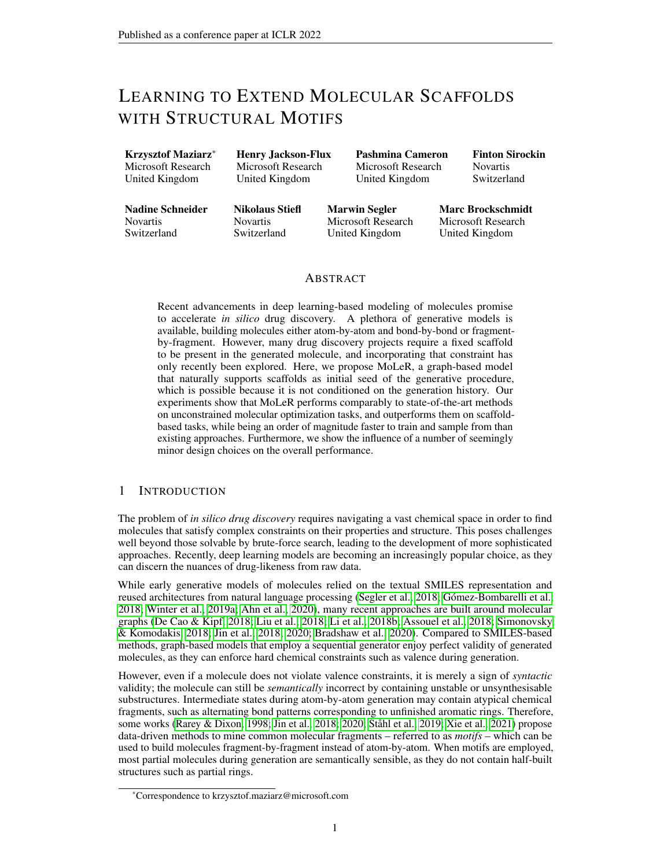# <span id="page-17-0"></span>E SCAFFOLD-BASED OPTIMIZATION BENCHMARKS

Our new scaffold-based benchmarks were inspired by real-world clinical candidates or marketed drugs, and employ large challenging scaffolds. The format closely follows the one used for tasks in Guacamol [\(Brown et al., 2019\)](#page-9-7); in all cases, the score is a task-specific real number in the  $[0, 1]$  range, with higher values being better, indicating how well the given molecules match a target molecular profile. To measure quality, we used the same quality filters as [Brown et al.](#page-9-7) [\(2019\)](#page-9-7).

Table 3: Targets and scaffolds used in our new scaffold-based optimization benchmarks.

<span id="page-17-2"></span>

We designed four tasks, three of which ask to maximize similarity towards a fixed target molecule (which may already have some of the required properties we care about in a drug discovery project

<span id="page-17-1"></span><sup>&</sup>lt;sup>1</sup>Pyrazol and phenyl have been exchanged to reduce similarity to the original molecule.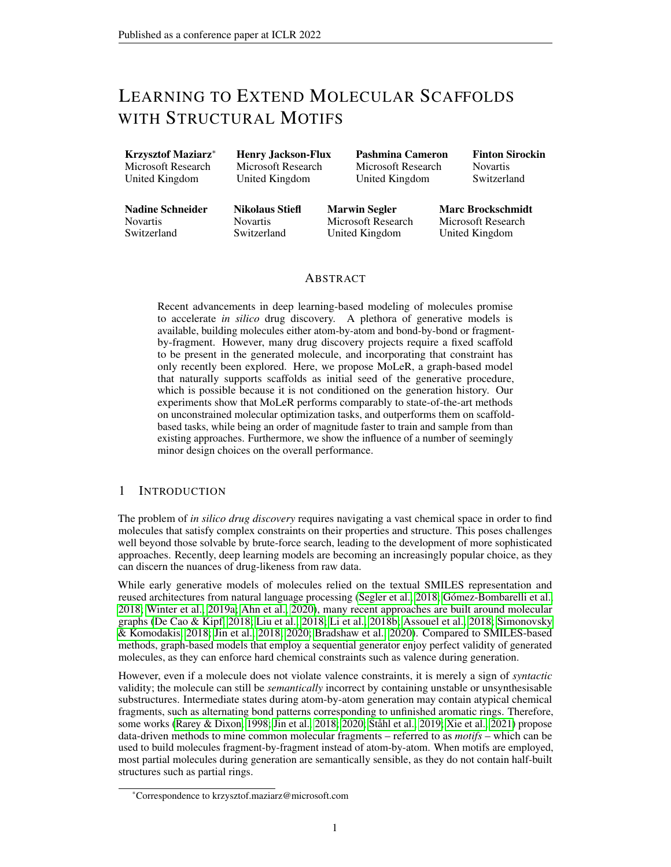e.g. binding), while enforcing the presence of a scaffold (which is not present in the target, making the task non-trivial). In real-world drug design, this scenario is known as scaffold hopping. Finally, the fourth task, apart from a scaffold, uses two target molecules, maximizing structural similarity to one [\(Xarelto\)](#page-12-7), while maintaining the properties of the other [\(Apixaban\)](#page-9-11). In Table [3](#page-17-2) we show all molecules used to define our tasks, along with references to the PubChem database. The target molecules have been inspired by existing drugs, however, to make the tasks harder, have in most cases been structurally modified such that they are not present in the Guacamol dataset, which is used by some of the algorithms (e.g. GraphGA, SMILES LSTM) to select the set of starting molecules.

#### <span id="page-18-0"></span>F LATENT SPACE NEIGHBORHOOD

In this section, we present more details on the latent space neighborhood learned by MoLeR. For the purpose of this analysis we fixed a scaffold [\(PubChem CID 57732551\)](#page-11-15), and chose an arbitrary molecule m that contains it. In order to visualize the neighborhood of  $m$ , we encode it, and then decode a 5 x 5 grid of neighboring latent codes centered at the encoding of m. To produce the grid, we choose two random orthogonal directions in the latent space, and then use binary search to select the smallest step size which results in all 25 latent points decoding to distinct molecules. We show the resulting latent neighborhood in Figure [7,](#page-18-1) where the scaffold is highlighted in each molecule. We see that the model is able to produce reasonable variations of  $m$ , while maintaining local smoothness, as most adjacent pairs of molecules are very similar. Moreover, we notice that the left-to-right direction is correlated with size, showing that the latent space respects basic chemical properties. If the same 25 latent codes are decoded without the scaffold constraint, only 9 of them end up containing the scaffold, while the other 16 contain similar but different substructures.

<span id="page-18-1"></span>

Figure 7: Latent space neighborhood of a fixed molecule containing a chemically relevant scaffold. Each latent code is decoded under a scaffold constraint, so that the desired scaffold (highlighted in red) is present in each molecule.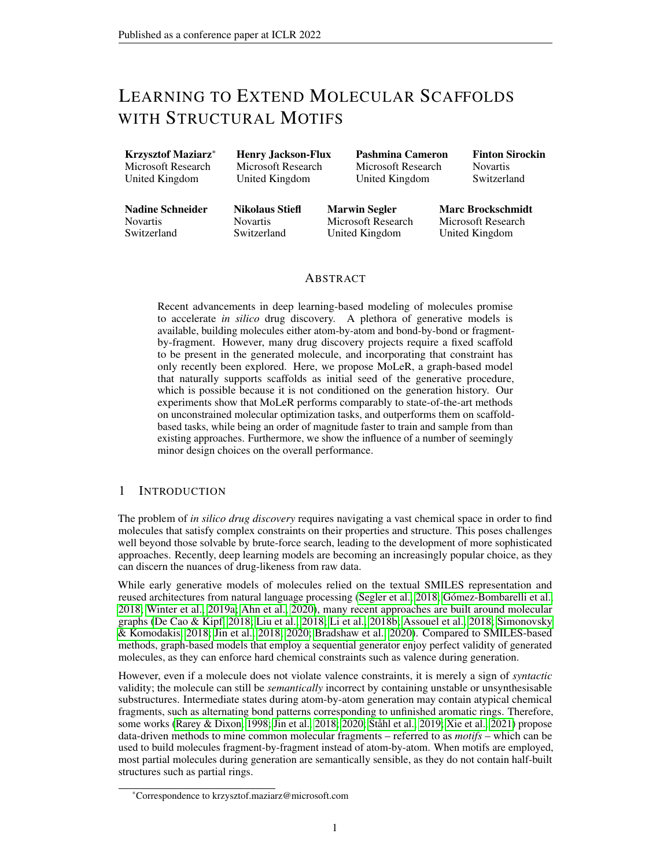# <span id="page-19-0"></span>G LEARNED MOTIF REPRESENTATIONS

To extract learned motif representations from a trained MoLeR model, we could use any of its weights that are motif-specific. We first examine the embedding layer in the *encoder*, which is used to construct atom features. Interestingly, we find that these embeddings do not cluster in any way, and even very similar motifs are assigned distant embeddings. We hypothesize that this is due to the use of a simple classification loss function for  $\mathcal{L}_{rec}$ , which asks to recover the exact motif type, and does not give a smaller penalty for predicting an incorrect but similar motif. Therefore, for two motifs that are similar on the atom level, it may be beneficial to place their embeddings further apart, since otherwise it would be hard for the GNN to differentiate them at all. We hope this observation can inspire future work to scale to very large motif vocabularies, but use domain knowledge to craft a soft reconstruction loss that respects motif similarity.

Now, we turn to a different set of motif embeddings, which we extract from the last layer of the next node prediction MLP in the *decoder*. This results in one weight vector per every output class (i.e. atom and motif type); in contrast to the encoder-side embeddings, the role of these weight vectors is *prediction* rather than *encoding*. We find that pairs of motif embeddings that have high cosine similarity indeed correspond to very similar motifs, which often differ in very subtle details of the molecular graph. We show some of the closest pairs in Figure [8.](#page-19-2)

<span id="page-19-2"></span>

Figure 8: Six pairs of similar motifs (one per column), as extracted from weights of a trained MoLeR model.

Finally, note that the motif embeddings discussed here (both encoder side and decoder side) were trained end-to-end with the rest of the model, and did not have direct access to graph structure or chemical features of motifs. Therefore, there is no bias that would make embeddings of similar motifs close, and this can only arise as a consequence of training.

# <span id="page-19-1"></span>H EFFECT OF USING MOTIFS ON OPTIMIZATION PERFORMANCE

In Figure [2](#page-5-0) we show how the choice of generation order and motif vocabulary size impact the samples generated by MoLeR. In Figure [9](#page-20-1) we mirror this analysis, looking at optimization performance on both groups of tasks reported in Table [2:](#page-6-0) original tasks of [Brown et al.](#page-9-7) [\(2019\)](#page-9-7), and our scaffold-based tasks.

For unconstrained optimization, we see that using motifs generally improves results for most generation orders, but the trends are much more noisy than in the case of generation performance. We speculate this may be caused by the fact that MoLeR is not directly trained for optimization performance, and thus we see more variance between reruns due to randomness.

For scaffold-constrained optimization, we see some improvement when motifs are introduced ( $0 \rightarrow$ 32), but there is no improvement with larger motif vocabularies, which we attribute to the fact that our scaffold-based tasks use very large scaffolds, and so their optimal decorations typically do not contain large or uncommon motifs. Finally, we note that MoLeR trained under a canonical order performs competitively in unconstrained optimization, but underperforms in scaffold-constrained optimization, matching the insights from Section [3.1.](#page-4-2)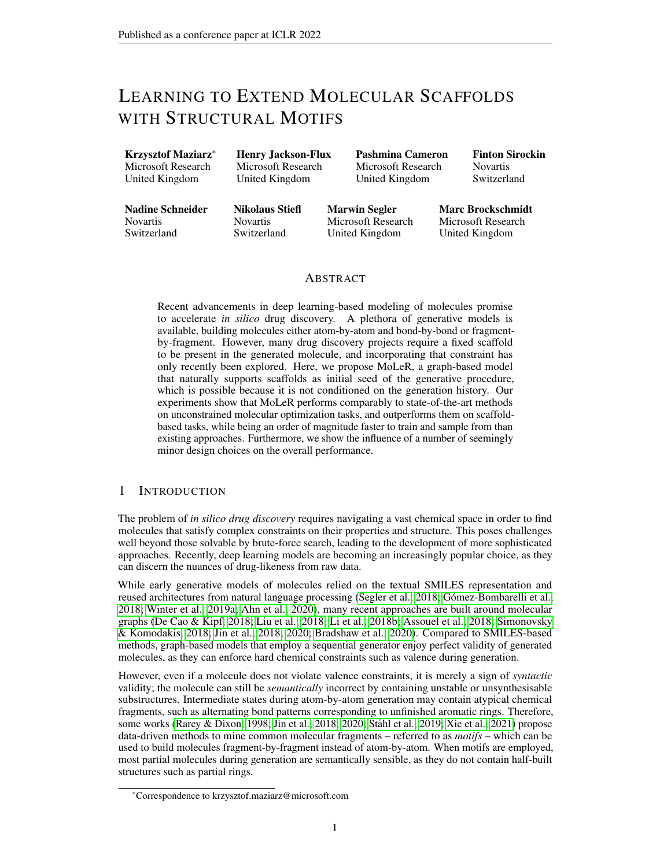<span id="page-20-1"></span>

Figure 9: Optimization performance (higher is better) for different generation orders and vocabulary sizes. We separately show the original GuacaMol benchmarks (left), and our new scaffold-based benchmarks (right).

### I ABLATION STUDIES

In this section, we perform ablation studies to understand the contribution of different design choices to MoLeR's performance.

#### <span id="page-20-0"></span>I.1 ADDING MOTIF EMBEDDINGS AS INPUT FEATURES

In Section [2.1,](#page-1-2) we introduced *motif embeddings*, which allow the encoder network to be motif-aware without having to learn to simulate the motif decomposition algorithm. Since the decoder network must reassemble the molecule using the right motifs, it is crucial for the encoder to understand which motifs are present, and including this information explicitly simplifies the learning task.

To confirm this intuition, we ran two MoLeR training runs: one using motif embeddings, and one using only atom-level features. To compare the models, we observed how samples from the prior evolved over the course of training. Concretely, every 5 000 training steps we drew 10 000 samples from the prior of each model, and computed three metrics using the GuacaMol package [\(Brown et al., 2019\)](#page-9-7): uniqueness (defined as a fraction of unique samples; higher is better), KL divergence to the training set (defined over several simple chemical properties and then transformed into the  $[0, 1]$  range; higher is better) and Frechet ChemNet Distance to the training set (defined as a divergence in intermediate activations of ChemNet; lower is better). We show the results of this in Figure [10.](#page-20-2) We see that without motif embeddings, MoLeR takes longer to learn to match the training data; this is most pronounced when comparing Frechet ChemNet distance.

<span id="page-20-2"></span>

Figure 10: Generation metrics during training, measured for MoLeR both with and without motif embeddings. Using motif embeddings simplifies the learning task, improving the quality of downstream samples.